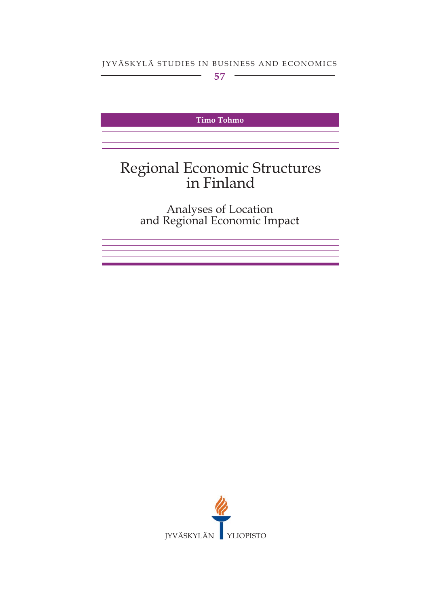JYVÄSKYLÄ STUDIES IN BUSINESS AND ECONOMICS

Timo Tohmo

# Regional Economic Structures<br>in Finland

Analyses of Location<br>and Regional Economic Impact

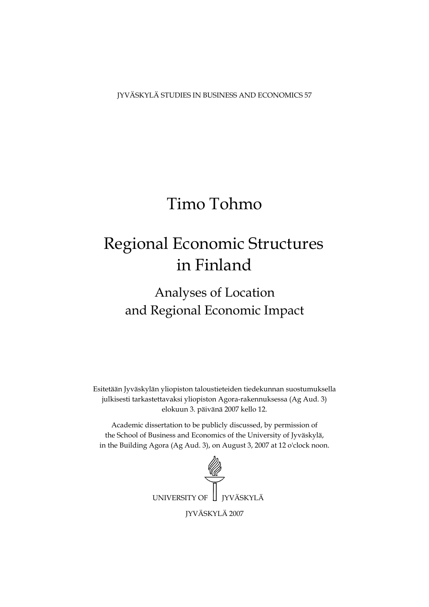JYVÄSKYLÄ STUDIES IN BUSINESS AND ECONOMICS 57

# Timo Tohmo

# Regional Economic Structures in Finland

# Analyses of Location and Regional Economic Impact

Esitetään Jyväskylän yliopiston taloustieteiden tiedekunnan suostumuksella julkisesti tarkastettavaksi yliopiston Agora-rakennuksessa (Ag Aud. 3) elokuun 3. päivänä 2007 kello 12.

Academic dissertation to be publicly discussed, by permission of the School of Business and Economics of the University of Jyväskylä, in the Building Agora (Ag Aud. 3), on August 3, 2007 at 12 o'clock noon.

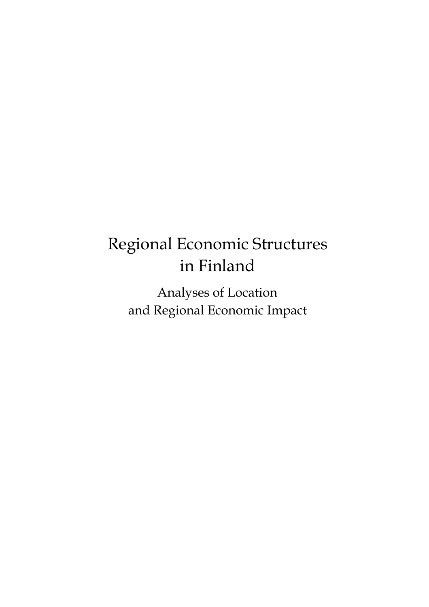# Regional Economic Structures in Finland

Analyses of Location and Regional Economic Impact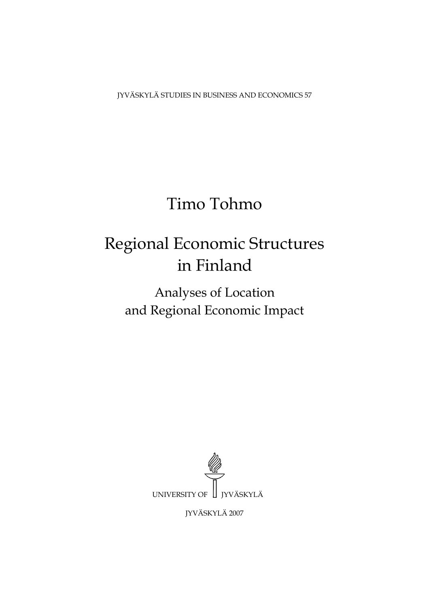JYVÄSKYLÄ STUDIES IN BUSINESS AND ECONOMICS 57

# Timo Tohmo

# Regional Economic Structures in Finland

Analyses of Location and Regional Economic Impact



JYVÄSKYLÄ 2007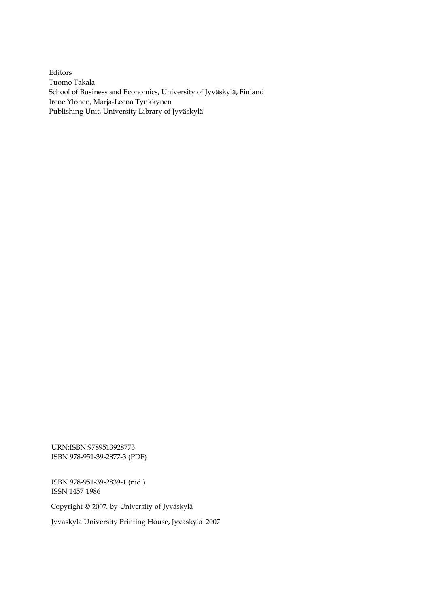Editors Tuomo Takala School of Business and Economics, University of Jyväskylä, Finland Irene Ylönen, Marja-Leena Tynkkynen Publishing Unit, University Library of Jyväskylä

URN:ISBN:9789513928773 ISBN 978-951-39-2877-3 (PDF)

ISBN 978-951-39-2839-1 (nid.) ISSN 1457-1986

Copyright © 2007, by University of Jyväskylä

Jyväskylä University Printing House, Jyväskylä 2007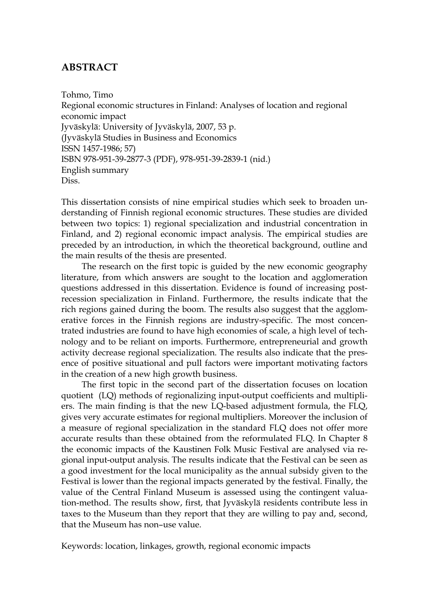### **ABSTRACT**

Tohmo, Timo Regional economic structures in Finland: Analyses of location and regional economic impact Jyväskylä: University of Jyväskylä, 2007, 53 p. (Jyväskylä Studies in Business and Economics ISSN 1457-1986; 57) ISBN 978-951-39-2877-3 (PDF), 978-951-39-2839-1 (nid.) English summary Diss.

This dissertation consists of nine empirical studies which seek to broaden understanding of Finnish regional economic structures. These studies are divided between two topics: 1) regional specialization and industrial concentration in Finland, and 2) regional economic impact analysis. The empirical studies are preceded by an introduction, in which the theoretical background, outline and the main results of the thesis are presented.

The research on the first topic is guided by the new economic geography literature, from which answers are sought to the location and agglomeration questions addressed in this dissertation. Evidence is found of increasing postrecession specialization in Finland. Furthermore, the results indicate that the rich regions gained during the boom. The results also suggest that the agglomerative forces in the Finnish regions are industry-specific. The most concentrated industries are found to have high economies of scale, a high level of technology and to be reliant on imports. Furthermore, entrepreneurial and growth activity decrease regional specialization. The results also indicate that the presence of positive situational and pull factors were important motivating factors in the creation of a new high growth business.

The first topic in the second part of the dissertation focuses on location quotient (LQ) methods of regionalizing input-output coefficients and multipliers. The main finding is that the new LQ-based adjustment formula, the FLQ, gives very accurate estimates for regional multipliers. Moreover the inclusion of a measure of regional specialization in the standard FLQ does not offer more accurate results than these obtained from the reformulated FLQ. In Chapter 8 the economic impacts of the Kaustinen Folk Music Festival are analysed via regional input-output analysis. The results indicate that the Festival can be seen as a good investment for the local municipality as the annual subsidy given to the Festival is lower than the regional impacts generated by the festival. Finally, the value of the Central Finland Museum is assessed using the contingent valuation-method. The results show, first, that Jyväskylä residents contribute less in taxes to the Museum than they report that they are willing to pay and, second, that the Museum has non–use value.

Keywords: location, linkages, growth, regional economic impacts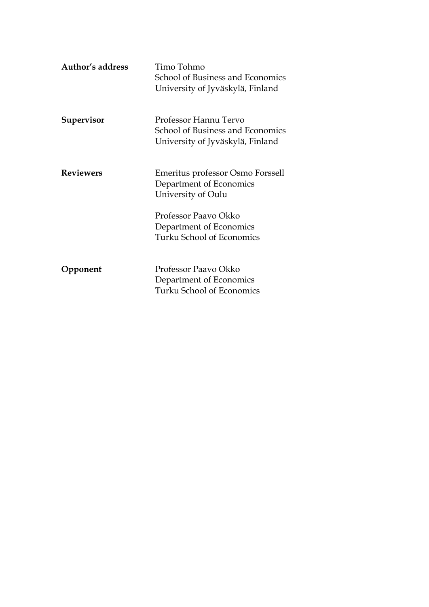| Author's address | Timo Tohmo<br>School of Business and Economics<br>University of Jyväskylä, Finland            |
|------------------|-----------------------------------------------------------------------------------------------|
| Supervisor       | Professor Hannu Tervo<br>School of Business and Economics<br>University of Jyväskylä, Finland |
| <b>Reviewers</b> | Emeritus professor Osmo Forssell<br>Department of Economics<br>University of Oulu             |
|                  | Professor Paavo Okko<br>Department of Economics<br>Turku School of Economics                  |
| Opponent         | Professor Paavo Okko<br>Department of Economics<br>Turku School of Economics                  |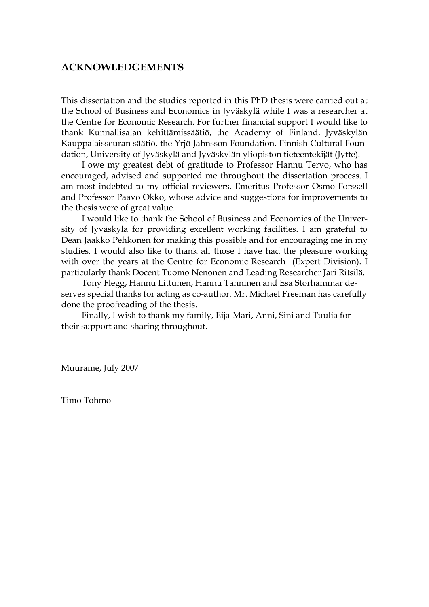#### **ACKNOWLEDGEMENTS**

This dissertation and the studies reported in this PhD thesis were carried out at the School of Business and Economics in Jyväskylä while I was a researcher at the Centre for Economic Research. For further financial support I would like to thank Kunnallisalan kehittämissäätiö, the Academy of Finland, Jyväskylän Kauppalaisseuran säätiö, the Yrjö Jahnsson Foundation, Finnish Cultural Foundation, University of Jyväskylä and Jyväskylän yliopiston tieteentekijät (Jytte).

 I owe my greatest debt of gratitude to Professor Hannu Tervo, who has encouraged, advised and supported me throughout the dissertation process. I am most indebted to my official reviewers, Emeritus Professor Osmo Forssell and Professor Paavo Okko, whose advice and suggestions for improvements to the thesis were of great value.

 I would like to thank the School of Business and Economics of the University of Jyväskylä for providing excellent working facilities. I am grateful to Dean Jaakko Pehkonen for making this possible and for encouraging me in my studies. I would also like to thank all those I have had the pleasure working with over the years at the Centre for Economic Research (Expert Division). I particularly thank Docent Tuomo Nenonen and Leading Researcher Jari Ritsilä.

 Tony Flegg, Hannu Littunen, Hannu Tanninen and Esa Storhammar deserves special thanks for acting as co-author. Mr. Michael Freeman has carefully done the proofreading of the thesis.

 Finally, I wish to thank my family, Eija-Mari, Anni, Sini and Tuulia for their support and sharing throughout.

Muurame, July 2007

Timo Tohmo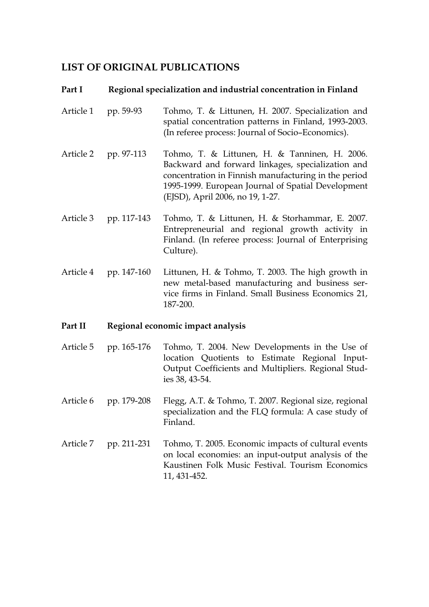### **LIST OF ORIGINAL PUBLICATIONS**

#### Part I Regional specialization and industrial concentration in Finland

- Article 1 pp. 59-93 Tohmo, T. & Littunen, H. 2007. Specialization and spatial concentration patterns in Finland, 1993-2003. (In referee process: Journal of Socio–Economics).
- Article 2 pp. 97-113 Tohmo, T. & Littunen, H. & Tanninen, H. 2006. Backward and forward linkages, specialization and concentration in Finnish manufacturing in the period 1995-1999. European Journal of Spatial Development (EJSD), April 2006, no 19, 1-27.
- Article 3 pp. 117-143 Tohmo, T. & Littunen, H. & Storhammar, E. 2007. Entrepreneurial and regional growth activity in Finland. (In referee process: Journal of Enterprising Culture).
- Article 4 pp. 147-160 Littunen, H. & Tohmo, T. 2003. The high growth in new metal-based manufacturing and business service firms in Finland. Small Business Economics 21, 187-200.

#### **Part II Regional economic impact analysis**

- Article 5 pp. 165-176 Tohmo, T. 2004. New Developments in the Use of location Quotients to Estimate Regional Input-Output Coefficients and Multipliers. Regional Studies 38, 43-54.
- Article 6 pp. 179-208 Flegg, A.T. & Tohmo, T. 2007. Regional size, regional specialization and the FLQ formula: A case study of Finland.
- Article 7 pp. 211-231 Tohmo, T. 2005. Economic impacts of cultural events on local economies: an input-output analysis of the Kaustinen Folk Music Festival. Tourism Economics 11, 431-452.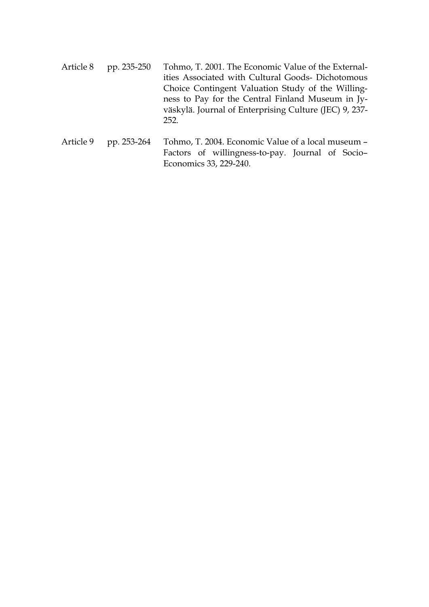- Article 8 pp. 235-250 Tohmo, T. 2001. The Economic Value of the Externalities Associated with Cultural Goods- Dichotomous Choice Contingent Valuation Study of the Willingness to Pay for the Central Finland Museum in Jyväskylä. Journal of Enterprising Culture (JEC) 9, 237- 252.
- Article 9 pp. 253-264 Tohmo, T. 2004. Economic Value of a local museum -Factors of willingness-to-pay. Journal of Socio– Economics 33, 229-240.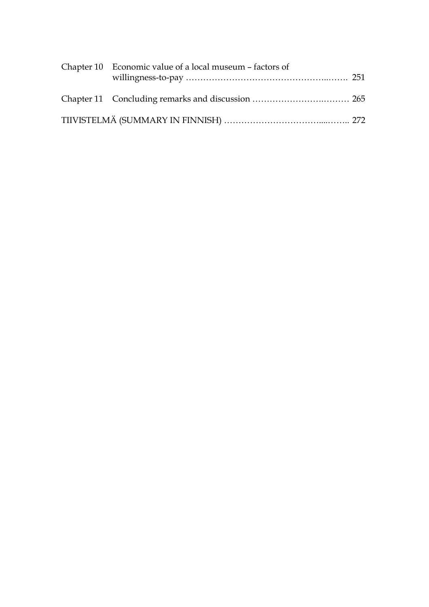| Chapter 10 Economic value of a local museum – factors of |  |
|----------------------------------------------------------|--|
|                                                          |  |
|                                                          |  |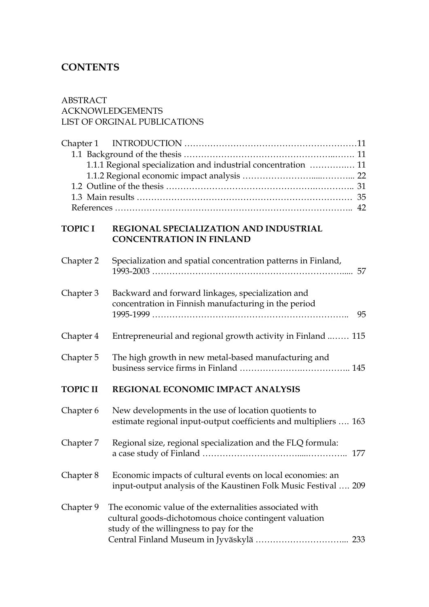### **CONTENTS**

# ABSTRACT ACKNOWLEDGEMENTS LIST OF ORGINAL PUBLICATIONS Chapter 1 INTRODUCTION …………………………………………………… 11 1.1 Background of the thesis ……………………………………………..……. 11 1.1.1 Regional specialization and industrial concentration ………….… 11 1.1.2 Regional economic impact analysis …………………….....………... 22 1.2 Outline of the thesis …………………………………………….………….. 31 1.3 Main results ………………………………………………………………… 35 References ……………………………………………………………………….. 42 **TOPIC I REGIONAL SPECIALIZATION AND INDUSTRIAL CONCENTRATION IN FINLAND**  Chapter 2 Specialization and spatial concentration patterns in Finland, 1993-2003 …………………………………………………………..... 57 Chapter 3 Backward and forward linkages, specialization and concentration in Finnish manufacturing in the period 1995-1999 ……………………….………………………………….. 95

Chapter 4 Entrepreneurial and regional growth activity in Finland ..…… 115 Chapter 5 The high growth in new metal-based manufacturing and

business service firms in Finland ………………….…………….. 145

**TOPIC II REGIONAL ECONOMIC IMPACT ANALYSIS**

| Chapter 6 | New developments in the use of location quotients to<br>estimate regional input-output coefficients and multipliers  163                                            |
|-----------|---------------------------------------------------------------------------------------------------------------------------------------------------------------------|
| Chapter 7 | Regional size, regional specialization and the FLQ formula:                                                                                                         |
| Chapter 8 | Economic impacts of cultural events on local economies: an<br>input-output analysis of the Kaustinen Folk Music Festival  209                                       |
| Chapter 9 | The economic value of the externalities associated with<br>cultural goods-dichotomous choice contingent valuation<br>study of the willingness to pay for the<br>233 |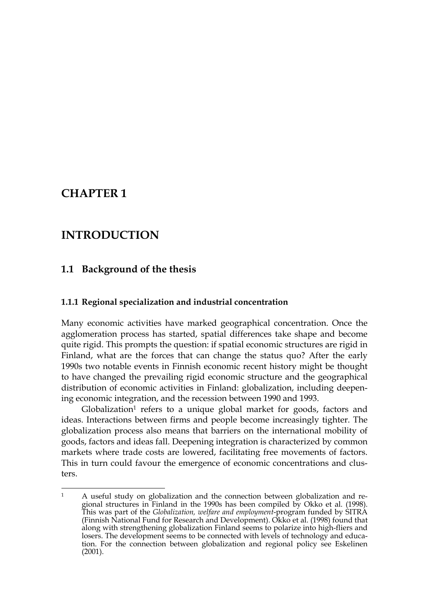## **CHAPTER 1**

1

## **INTRODUCTION**

#### **1.1 Background of the thesis**

#### **1.1.1 Regional specialization and industrial concentration**

Many economic activities have marked geographical concentration. Once the agglomeration process has started, spatial differences take shape and become quite rigid. This prompts the question: if spatial economic structures are rigid in Finland, what are the forces that can change the status quo? After the early 1990s two notable events in Finnish economic recent history might be thought to have changed the prevailing rigid economic structure and the geographical distribution of economic activities in Finland: globalization, including deepening economic integration, and the recession between 1990 and 1993.

 $G$ lobalization<sup>1</sup> refers to a unique global market for goods, factors and ideas. Interactions between firms and people become increasingly tighter. The globalization process also means that barriers on the international mobility of goods, factors and ideas fall. Deepening integration is characterized by common markets where trade costs are lowered, facilitating free movements of factors. This in turn could favour the emergence of economic concentrations and clusters.

 $1$  A useful study on globalization and the connection between globalization and regional structures in Finland in the 1990s has been compiled by Okko et al. (1998). This was part of the *Globalization, welfare and employment*-program funded by SITRA (Finnish National Fund for Research and Development). Okko et al. (1998) found that along with strengthening globalization Finland seems to polarize into high-fliers and losers. The development seems to be connected with levels of technology and education. For the connection between globalization and regional policy see Eskelinen (2001).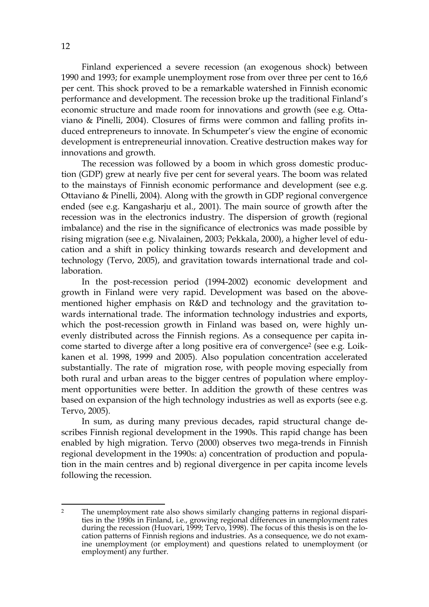Finland experienced a severe recession (an exogenous shock) between 1990 and 1993; for example unemployment rose from over three per cent to 16,6 per cent. This shock proved to be a remarkable watershed in Finnish economic performance and development. The recession broke up the traditional Finland's economic structure and made room for innovations and growth (see e.g. Ottaviano & Pinelli, 2004). Closures of firms were common and falling profits induced entrepreneurs to innovate. In Schumpeter's view the engine of economic development is entrepreneurial innovation. Creative destruction makes way for innovations and growth.

The recession was followed by a boom in which gross domestic production (GDP) grew at nearly five per cent for several years. The boom was related to the mainstays of Finnish economic performance and development (see e.g. Ottaviano & Pinelli, 2004). Along with the growth in GDP regional convergence ended (see e.g. Kangasharju et al., 2001). The main source of growth after the recession was in the electronics industry. The dispersion of growth (regional imbalance) and the rise in the significance of electronics was made possible by rising migration (see e.g. Nivalainen, 2003; Pekkala, 2000), a higher level of education and a shift in policy thinking towards research and development and technology (Tervo, 2005), and gravitation towards international trade and collaboration.

In the post-recession period (1994-2002) economic development and growth in Finland were very rapid. Development was based on the abovementioned higher emphasis on R&D and technology and the gravitation towards international trade. The information technology industries and exports, which the post-recession growth in Finland was based on, were highly unevenly distributed across the Finnish regions. As a consequence per capita income started to diverge after a long positive era of convergence2 (see e.g. Loikkanen et al. 1998, 1999 and 2005). Also population concentration accelerated substantially. The rate of migration rose, with people moving especially from both rural and urban areas to the bigger centres of population where employment opportunities were better. In addition the growth of these centres was based on expansion of the high technology industries as well as exports (see e.g. Tervo, 2005).

In sum, as during many previous decades, rapid structural change describes Finnish regional development in the 1990s. This rapid change has been enabled by high migration. Tervo (2000) observes two mega-trends in Finnish regional development in the 1990s: a) concentration of production and population in the main centres and b) regional divergence in per capita income levels following the recession.

<sup>&</sup>lt;sup>2</sup> The unemployment rate also shows similarly changing patterns in regional disparities in the 1990s in Finland, i.e., growing regional differences in unemployment rates during the recession (Huovari, 1999; Tervo, 1998). The focus of this thesis is on the location patterns of Finnish regions and industries. As a consequence, we do not examine unemployment (or employment) and questions related to unemployment (or employment) any further.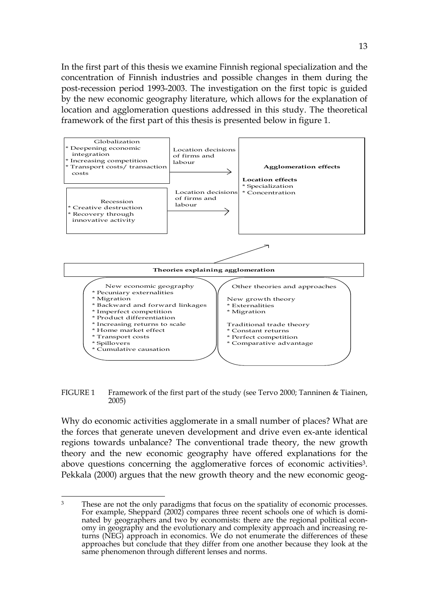In the first part of this thesis we examine Finnish regional specialization and the concentration of Finnish industries and possible changes in them during the post-recession period 1993-2003. The investigation on the first topic is guided by the new economic geography literature, which allows for the explanation of location and agglomeration questions addressed in this study. The theoretical framework of the first part of this thesis is presented below in figure 1.



FIGURE 1 Framework of the first part of the study (see Tervo 2000; Tanninen & Tiainen, 2005)

Why do economic activities agglomerate in a small number of places? What are the forces that generate uneven development and drive even ex-ante identical regions towards unbalance? The conventional trade theory, the new growth theory and the new economic geography have offered explanations for the above questions concerning the agglomerative forces of economic activities<sup>3</sup>. Pekkala (2000) argues that the new growth theory and the new economic geog-

<u>.</u>

<sup>&</sup>lt;sup>3</sup> These are not the only paradigms that focus on the spatiality of economic processes. For example, Sheppard (2002) compares three recent schools one of which is dominated by geographers and two by economists: there are the regional political economy in geography and the evolutionary and complexity approach and increasing returns (NEG) approach in economics. We do not enumerate the differences of these approaches but conclude that they differ from one another because they look at the same phenomenon through different lenses and norms.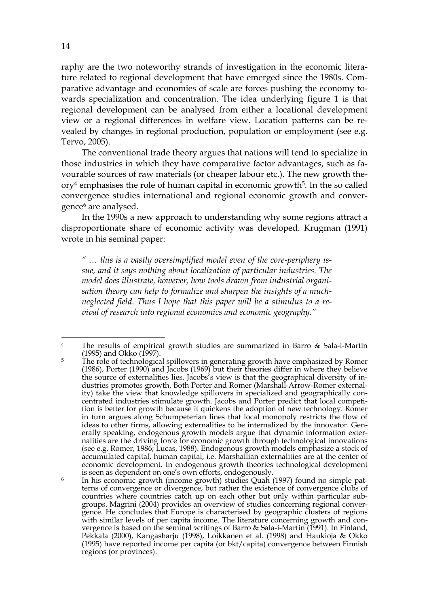raphy are the two noteworthy strands of investigation in the economic literature related to regional development that have emerged since the 1980s. Comparative advantage and economies of scale are forces pushing the economy towards specialization and concentration. The idea underlying figure 1 is that regional development can be analysed from either a locational development view or a regional differences in welfare view. Location patterns can be revealed by changes in regional production, population or employment (see e.g. Tervo, 2005).

The conventional trade theory argues that nations will tend to specialize in those industries in which they have comparative factor advantages, such as favourable sources of raw materials (or cheaper labour etc.). The new growth theory4 emphasises the role of human capital in economic growth5. In the so called convergence studies international and regional economic growth and convergence6 are analysed.

In the 1990s a new approach to understanding why some regions attract a disproportionate share of economic activity was developed. Krugman (1991) wrote in his seminal paper:

*" … this is a vastly oversimplified model even of the core-periphery issue, and it says nothing about localization of particular industries. The model does illustrate, however, how tools drawn from industrial organisation theory can help to formalize and sharpen the insights of a muchneglected field. Thus I hope that this paper will be a stimulus to a revival of research into regional economics and economic geography."* 

<u>.</u>

<sup>4</sup> The results of empirical growth studies are summarized in Barro & Sala-i-Martin (1995) and Okko (1997).

 $5$  The role of technological spillovers in generating growth have emphasized by Romer (1986), Porter (1990) and Jacobs (1969) but their theories differ in where they believe the source of externalities lies. Jacobs's view is that the geographical diversity of industries promotes growth. Both Porter and Romer (Marshall-Arrow-Romer externality) take the view that knowledge spillovers in specialized and geographically concentrated industries stimulate growth. Jacobs and Porter predict that local competition is better for growth because it quickens the adoption of new technology. Romer in turn argues along Schumpeterian lines that local monopoly restricts the flow of ideas to other firms, allowing externalities to be internalized by the innovator. Generally speaking, endogenous growth models argue that dynamic information externalities are the driving force for economic growth through technological innovations (see e.g. Romer, 1986; Lucas, 1988). Endogenous growth models emphasize a stock of accumulated capital, human capital, i.e. Marshallian externalities are at the center of economic development. In endogenous growth theories technological development is seen as dependent on one's own efforts, endogenously.

<sup>&</sup>lt;sup>6</sup> In his economic growth (income growth) studies Quah (1997) found no simple patterns of convergence or divergence, but rather the existence of convergence clubs of countries where countries catch up on each other but only within particular subgroups. Magrini (2004) provides an overview of studies concerning regional convergence. He concludes that Europe is characterised by geographic clusters of regions with similar levels of per capita income. The literature concerning growth and convergence is based on the seminal writings of Barro & Sala-i-Martin (1991). In Finland, Pekkala (2000), Kangasharju (1998), Loikkanen et al. (1998) and Haukioja & Okko (1995) have reported income per capita (or bkt/capita) convergence between Finnish regions (or provinces).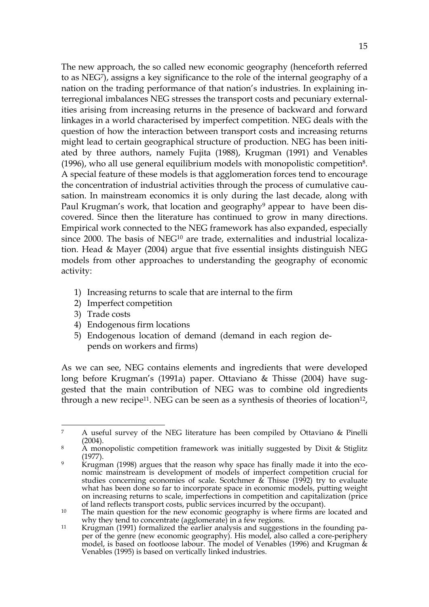The new approach, the so called new economic geography (henceforth referred to as NEG7), assigns a key significance to the role of the internal geography of a nation on the trading performance of that nation's industries. In explaining interregional imbalances NEG stresses the transport costs and pecuniary externalities arising from increasing returns in the presence of backward and forward linkages in a world characterised by imperfect competition. NEG deals with the question of how the interaction between transport costs and increasing returns might lead to certain geographical structure of production. NEG has been initiated by three authors, namely Fujita (1988), Krugman (1991) and Venables (1996), who all use general equilibrium models with monopolistic competition8. A special feature of these models is that agglomeration forces tend to encourage the concentration of industrial activities through the process of cumulative causation. In mainstream economics it is only during the last decade, along with Paul Krugman's work, that location and geography<sup>9</sup> appear to have been discovered. Since then the literature has continued to grow in many directions. Empirical work connected to the NEG framework has also expanded, especially since 2000. The basis of NEG<sup>10</sup> are trade, externalities and industrial localization. Head & Mayer (2004) argue that five essential insights distinguish NEG models from other approaches to understanding the geography of economic activity:

- 1) Increasing returns to scale that are internal to the firm
- 2) Imperfect competition
- 3) Trade costs
- 4) Endogenous firm locations
- 5) Endogenous location of demand (demand in each region depends on workers and firms)

As we can see, NEG contains elements and ingredients that were developed long before Krugman's (1991a) paper. Ottaviano & Thisse (2004) have suggested that the main contribution of NEG was to combine old ingredients through a new recipe<sup>11</sup>. NEG can be seen as a synthesis of theories of location<sup>12</sup>,

<sup>&</sup>lt;u>.</u> 7 A useful survey of the NEG literature has been compiled by Ottaviano & Pinelli (2004).

<sup>8</sup> A monopolistic competition framework was initially suggested by Dixit & Stiglitz (1977).

 $9$  Krugman (1998) argues that the reason why space has finally made it into the economic mainstream is development of models of imperfect competition crucial for studies concerning economies of scale. Scotchmer & Thisse (1992) try to evaluate what has been done so far to incorporate space in economic models, putting weight on increasing returns to scale, imperfections in competition and capitalization (price of land reflects transport costs, public services incurred by the occupant).

 $10$  The main question for the new economic geography is where firms are located and why they tend to concentrate (agglomerate) in a few regions.

<sup>&</sup>lt;sup>11</sup> Krugman (1991) formalized the earlier analysis and suggestions in the founding paper of the genre (new economic geography). His model, also called a core-periphery model, is based on footloose labour. The model of Venables (1996) and Krugman & Venables (1995) is based on vertically linked industries.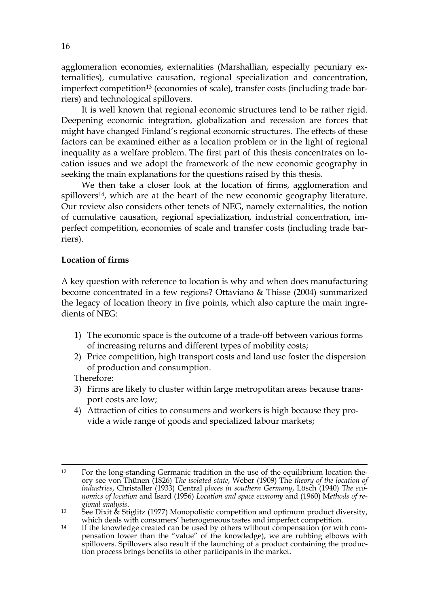agglomeration economies, externalities (Marshallian, especially pecuniary externalities), cumulative causation, regional specialization and concentration, imperfect competition<sup>13</sup> (economies of scale), transfer costs (including trade barriers) and technological spillovers.

It is well known that regional economic structures tend to be rather rigid. Deepening economic integration, globalization and recession are forces that might have changed Finland's regional economic structures. The effects of these factors can be examined either as a location problem or in the light of regional inequality as a welfare problem. The first part of this thesis concentrates on location issues and we adopt the framework of the new economic geography in seeking the main explanations for the questions raised by this thesis.

We then take a closer look at the location of firms, agglomeration and spillovers<sup>14</sup>, which are at the heart of the new economic geography literature. Our review also considers other tenets of NEG, namely externalities, the notion of cumulative causation, regional specialization, industrial concentration, imperfect competition, economies of scale and transfer costs (including trade barriers).

#### **Location of firms**

A key question with reference to location is why and when does manufacturing become concentrated in a few regions? Ottaviano & Thisse (2004) summarized the legacy of location theory in five points, which also capture the main ingredients of NEG:

- 1) The economic space is the outcome of a trade-off between various forms of increasing returns and different types of mobility costs;
- 2) Price competition, high transport costs and land use foster the dispersion of production and consumption.

Therefore:

- 3) Firms are likely to cluster within large metropolitan areas because transport costs are low;
- 4) Attraction of cities to consumers and workers is high because they provide a wide range of goods and specialized labour markets;

<sup>&</sup>lt;sup>12</sup> For the long-standing Germanic tradition in the use of the equilibrium location theory see von Thünen (1826) T*he isolated state*, Weber (1909) The *theory of the location of industries*, Christaller (1933) Central *places in southern Germany*, Lösch (1940) T*he economics of location* and Isard (1956) *Location and space economy* and (1960) M*ethods of re-*

<sup>&</sup>lt;sup>13</sup> See Dixit & Stiglitz (1977) Monopolistic competition and optimum product diversity, which deals with consumers' heterogeneous tastes and imperfect competition.

<sup>&</sup>lt;sup>14</sup> If the knowledge created can be used by others without compensation (or with compensation lower than the "value" of the knowledge), we are rubbing elbows with spillovers. Spillovers also result if the launching of a product containing the production process brings benefits to other participants in the market.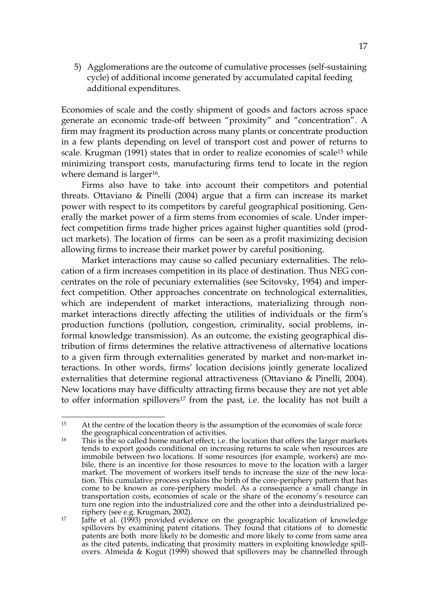5) Agglomerations are the outcome of cumulative processes (self-sustaining cycle) of additional income generated by accumulated capital feeding additional expenditures.

Economies of scale and the costly shipment of goods and factors across space generate an economic trade-off between "proximity" and "concentration". A firm may fragment its production across many plants or concentrate production in a few plants depending on level of transport cost and power of returns to scale. Krugman (1991) states that in order to realize economies of scale<sup>15</sup> while minimizing transport costs, manufacturing firms tend to locate in the region where demand is larger<sup>16</sup>.

Firms also have to take into account their competitors and potential threats. Ottaviano & Pinelli (2004) argue that a firm can increase its market power with respect to its competitors by careful geographical positioning. Generally the market power of a firm stems from economies of scale. Under imperfect competition firms trade higher prices against higher quantities sold (product markets). The location of firms can be seen as a profit maximizing decision allowing firms to increase their market power by careful positioning.

Market interactions may cause so called pecuniary externalities. The relocation of a firm increases competition in its place of destination. Thus NEG concentrates on the role of pecuniary externalities (see Scitovsky, 1954) and imperfect competition. Other approaches concentrate on technological externalities, which are independent of market interactions, materializing through nonmarket interactions directly affecting the utilities of individuals or the firm's production functions (pollution, congestion, criminality, social problems, informal knowledge transmission). As an outcome, the existing geographical distribution of firms determines the relative attractiveness of alternative locations to a given firm through externalities generated by market and non-market interactions. In other words, firms' location decisions jointly generate localized externalities that determine regional attractiveness (Ottaviano & Pinelli, 2004). New locations may have difficulty attracting firms because they are not yet able to offer information spillovers<sup>17</sup> from the past, i.e. the locality has not built a

 $15$ At the centre of the location theory is the assumption of the economies of scale force the geographical concentration of activities.

<sup>&</sup>lt;sup>16</sup> This is the so called home market effect; i.e. the location that offers the larger markets tends to export goods conditional on increasing returns to scale when resources are immobile between two locations. If some resources (for example, workers) are mobile, there is an incentive for those resources to move to the location with a larger market. The movement of workers itself tends to increase the size of the new location. This cumulative process explains the birth of the core-periphery pattern that has come to be known as core-periphery model. As a consequence a small change in transportation costs, economies of scale or the share of the economy's resource can turn one region into the industrialized core and the other into a deindustrialized periphery (see e.g. Krugman, 2002).

<sup>&</sup>lt;sup>17</sup> Jaffe et al. (1993) provided evidence on the geographic localization of knowledge spillovers by examining patent citations. They found that citations of to domestic patents are both more likely to be domestic and more likely to come from same area as the cited patents, indicating that proximity matters in exploiting knowledge spillovers. Almeida & Kogut (1999) showed that spillovers may be channelled through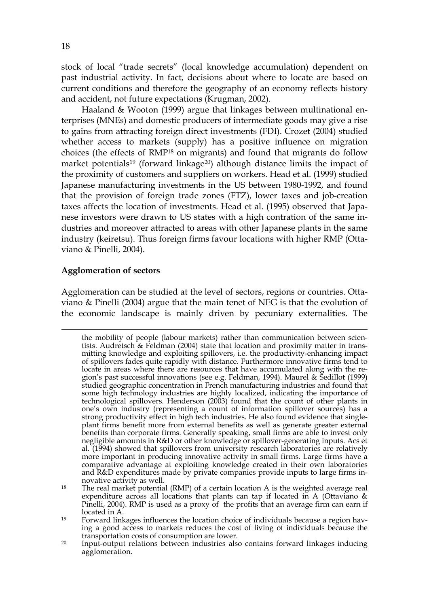stock of local "trade secrets" (local knowledge accumulation) dependent on past industrial activity. In fact, decisions about where to locate are based on current conditions and therefore the geography of an economy reflects history and accident, not future expectations (Krugman, 2002).

Haaland & Wooton (1999) argue that linkages between multinational enterprises (MNEs) and domestic producers of intermediate goods may give a rise to gains from attracting foreign direct investments (FDI). Crozet (2004) studied whether access to markets (supply) has a positive influence on migration choices (the effects of RMP18 on migrants) and found that migrants do follow market potentials<sup>19</sup> (forward linkage<sup>20</sup>) although distance limits the impact of the proximity of customers and suppliers on workers. Head et al. (1999) studied Japanese manufacturing investments in the US between 1980-1992, and found that the provision of foreign trade zones (FTZ), lower taxes and job-creation taxes affects the location of investments. Head et al. (1995) observed that Japanese investors were drawn to US states with a high contration of the same industries and moreover attracted to areas with other Japanese plants in the same industry (keiretsu). Thus foreign firms favour locations with higher RMP (Ottaviano & Pinelli, 2004).

#### **Agglomeration of sectors**

1

Agglomeration can be studied at the level of sectors, regions or countries. Ottaviano & Pinelli (2004) argue that the main tenet of NEG is that the evolution of the economic landscape is mainly driven by pecuniary externalities. The

the mobility of people (labour markets) rather than communication between scientists. Audretsch & Feldman (2004) state that location and proximity matter in transmitting knowledge and exploiting spillovers, i.e. the productivity-enhancing impact of spillovers fades quite rapidly with distance. Furthermore innovative firms tend to locate in areas where there are resources that have accumulated along with the region's past successful innovations (see e.g. Feldman, 1994). Maurel & Sedillot (1999) studied geographic concentration in French manufacturing industries and found that some high technology industries are highly localized, indicating the importance of technological spillovers. Henderson (2003) found that the count of other plants in one's own industry (representing a count of information spillover sources) has a strong productivity effect in high tech industries. He also found evidence that singleplant firms benefit more from external benefits as well as generate greater external benefits than corporate firms. Generally speaking, small firms are able to invest only negligible amounts in R&D or other knowledge or spillover-generating inputs. Acs et al. (1994) showed that spillovers from university research laboratories are relatively more important in producing innovative activity in small firms. Large firms have a comparative advantage at exploiting knowledge created in their own laboratories and R&D expenditures made by private companies provide inputs to large firms innovative activity as well.

<sup>&</sup>lt;sup>18</sup> The real market potential (RMP) of a certain location A is the weighted average real expenditure across all locations that plants can tap if located in A (Ottaviano & Pinelli, 2004). RMP is used as a proxy of the profits that an average firm can earn if located in A.

<sup>19</sup> Forward linkages influences the location choice of individuals because a region having a good access to markets reduces the cost of living of individuals because the transportation costs of consumption are lower.

<sup>20</sup> Input-output relations between industries also contains forward linkages inducing agglomeration.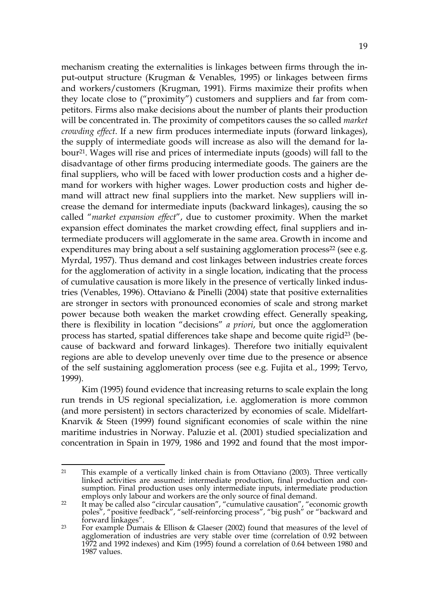mechanism creating the externalities is linkages between firms through the input-output structure (Krugman & Venables, 1995) or linkages between firms and workers/customers (Krugman, 1991). Firms maximize their profits when they locate close to ("proximity") customers and suppliers and far from competitors. Firms also make decisions about the number of plants their production will be concentrated in. The proximity of competitors causes the so called *market crowding effect*. If a new firm produces intermediate inputs (forward linkages), the supply of intermediate goods will increase as also will the demand for labour21. Wages will rise and prices of intermediate inputs (goods) will fall to the disadvantage of other firms producing intermediate goods. The gainers are the final suppliers, who will be faced with lower production costs and a higher demand for workers with higher wages. Lower production costs and higher demand will attract new final suppliers into the market. New suppliers will increase the demand for intermediate inputs (backward linkages), causing the so called "*market expansion effect*", due to customer proximity. When the market expansion effect dominates the market crowding effect, final suppliers and intermediate producers will agglomerate in the same area. Growth in income and expenditures may bring about a self sustaining agglomeration process<sup>22</sup> (see e.g. Myrdal, 1957). Thus demand and cost linkages between industries create forces for the agglomeration of activity in a single location, indicating that the process of cumulative causation is more likely in the presence of vertically linked industries (Venables, 1996). Ottaviano & Pinelli (2004) state that positive externalities are stronger in sectors with pronounced economies of scale and strong market power because both weaken the market crowding effect. Generally speaking, there is flexibility in location "decisions" *a priori*, but once the agglomeration process has started, spatial differences take shape and become quite rigid<sup>23</sup> (because of backward and forward linkages). Therefore two initially equivalent regions are able to develop unevenly over time due to the presence or absence of the self sustaining agglomeration process (see e.g. Fujita et al., 1999; Tervo, 1999).

Kim (1995) found evidence that increasing returns to scale explain the long run trends in US regional specialization, i.e. agglomeration is more common (and more persistent) in sectors characterized by economies of scale. Midelfart-Knarvik & Steen (1999) found significant economies of scale within the nine maritime industries in Norway. Paluzie et al. (2001) studied specialization and concentration in Spain in 1979, 1986 and 1992 and found that the most impor-

<sup>21</sup> This example of a vertically linked chain is from Ottaviano (2003). Three vertically linked activities are assumed: intermediate production, final production and consumption. Final production uses only intermediate inputs, intermediate production employs only labour and workers are the only source of final demand.

<sup>&</sup>lt;sup>22</sup> It may be called also "circular causation", "cumulative causation", "economic growth poles", "positive feedback", "self-reinforcing process", "big push" or "backward and forward linkages".

<sup>&</sup>lt;sup>23</sup> For example Dumais & Ellison & Glaeser (2002) found that measures of the level of agglomeration of industries are very stable over time (correlation of 0.92 between 1972 and 1992 indexes) and Kim (1995) found a correlation of 0.64 between 1980 and 1987 values.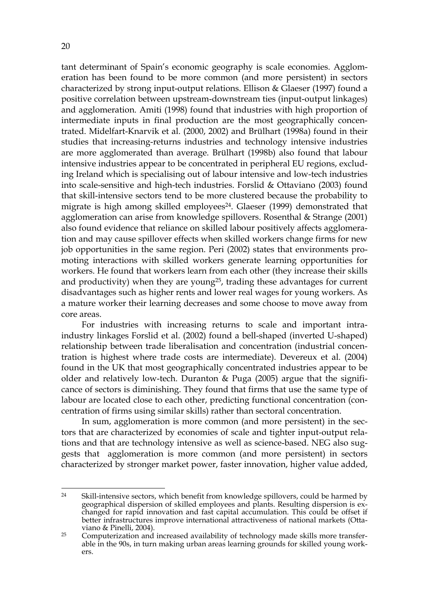tant determinant of Spain's economic geography is scale economies. Agglomeration has been found to be more common (and more persistent) in sectors characterized by strong input-output relations. Ellison & Glaeser (1997) found a positive correlation between upstream-downstream ties (input-output linkages) and agglomeration. Amiti (1998) found that industries with high proportion of intermediate inputs in final production are the most geographically concentrated. Midelfart-Knarvik et al. (2000, 2002) and Brülhart (1998a) found in their studies that increasing-returns industries and technology intensive industries are more agglomerated than average. Brülhart (1998b) also found that labour intensive industries appear to be concentrated in peripheral EU regions, excluding Ireland which is specialising out of labour intensive and low-tech industries into scale-sensitive and high-tech industries. Forslid & Ottaviano (2003) found that skill-intensive sectors tend to be more clustered because the probability to migrate is high among skilled employees<sup>24</sup>. Glaeser (1999) demonstrated that agglomeration can arise from knowledge spillovers. Rosenthal & Strange (2001) also found evidence that reliance on skilled labour positively affects agglomeration and may cause spillover effects when skilled workers change firms for new job opportunities in the same region. Peri (2002) states that environments promoting interactions with skilled workers generate learning opportunities for workers. He found that workers learn from each other (they increase their skills and productivity) when they are young25, trading these advantages for current disadvantages such as higher rents and lower real wages for young workers. As a mature worker their learning decreases and some choose to move away from core areas.

For industries with increasing returns to scale and important intraindustry linkages Forslid et al. (2002) found a bell-shaped (inverted U-shaped) relationship between trade liberalisation and concentration (industrial concentration is highest where trade costs are intermediate). Devereux et al. (2004) found in the UK that most geographically concentrated industries appear to be older and relatively low-tech. Duranton & Puga (2005) argue that the significance of sectors is diminishing. They found that firms that use the same type of labour are located close to each other, predicting functional concentration (concentration of firms using similar skills) rather than sectoral concentration.

In sum, agglomeration is more common (and more persistent) in the sectors that are characterized by economies of scale and tighter input-output relations and that are technology intensive as well as science-based. NEG also suggests that agglomeration is more common (and more persistent) in sectors characterized by stronger market power, faster innovation, higher value added,

<sup>&</sup>lt;sup>24</sup> Skill-intensive sectors, which benefit from knowledge spillovers, could be harmed by geographical dispersion of skilled employees and plants. Resulting dispersion is exchanged for rapid innovation and fast capital accumulation. This could be offset if better infrastructures improve international attractiveness of national markets (Ottaviano & Pinelli, 2004).

 $25$  Computerization and increased availability of technology made skills more transferable in the 90s, in turn making urban areas learning grounds for skilled young workers.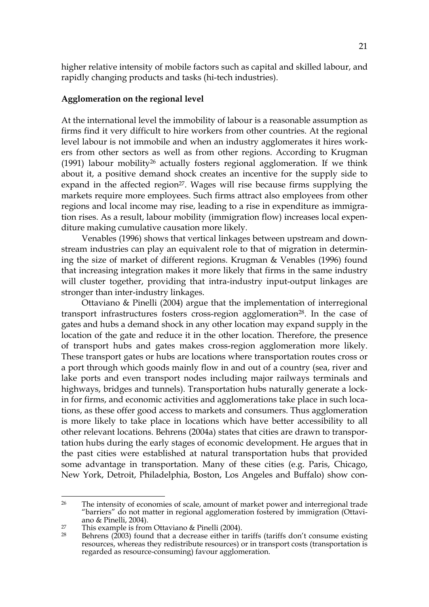higher relative intensity of mobile factors such as capital and skilled labour, and rapidly changing products and tasks (hi-tech industries).

#### **Agglomeration on the regional level**

At the international level the immobility of labour is a reasonable assumption as firms find it very difficult to hire workers from other countries. At the regional level labour is not immobile and when an industry agglomerates it hires workers from other sectors as well as from other regions. According to Krugman (1991) labour mobility<sup>26</sup> actually fosters regional agglomeration. If we think about it, a positive demand shock creates an incentive for the supply side to expand in the affected region<sup>27</sup>. Wages will rise because firms supplying the markets require more employees. Such firms attract also employees from other regions and local income may rise, leading to a rise in expenditure as immigration rises. As a result, labour mobility (immigration flow) increases local expenditure making cumulative causation more likely.

Venables (1996) shows that vertical linkages between upstream and downstream industries can play an equivalent role to that of migration in determining the size of market of different regions. Krugman & Venables (1996) found that increasing integration makes it more likely that firms in the same industry will cluster together, providing that intra-industry input-output linkages are stronger than inter-industry linkages.

Ottaviano & Pinelli (2004) argue that the implementation of interregional transport infrastructures fosters cross-region agglomeration<sup>28</sup>. In the case of gates and hubs a demand shock in any other location may expand supply in the location of the gate and reduce it in the other location. Therefore, the presence of transport hubs and gates makes cross-region agglomeration more likely. These transport gates or hubs are locations where transportation routes cross or a port through which goods mainly flow in and out of a country (sea, river and lake ports and even transport nodes including major railways terminals and highways, bridges and tunnels). Transportation hubs naturally generate a lockin for firms, and economic activities and agglomerations take place in such locations, as these offer good access to markets and consumers. Thus agglomeration is more likely to take place in locations which have better accessibility to all other relevant locations. Behrens (2004a) states that cities are drawn to transportation hubs during the early stages of economic development. He argues that in the past cities were established at natural transportation hubs that provided some advantage in transportation. Many of these cities (e.g. Paris, Chicago, New York, Detroit, Philadelphia, Boston, Los Angeles and Buffalo) show con-

<sup>&</sup>lt;u>.</u> <sup>26</sup> The intensity of economies of scale, amount of market power and interregional trade "barriers" do not matter in regional agglomeration fostered by immigration (Ottaviano & Pinelli, 2004).

<sup>&</sup>lt;sup>27</sup> This example is from Ottaviano & Pinelli (2004).<br><sup>28</sup> Bohrone (2003) found that a decrease either in t

<sup>28</sup> Behrens (2003) found that a decrease either in tariffs (tariffs don't consume existing resources, whereas they redistribute resources) or in transport costs (transportation is regarded as resource-consuming) favour agglomeration.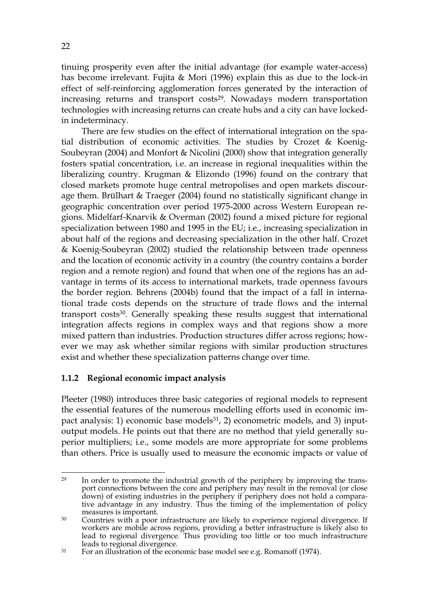tinuing prosperity even after the initial advantage (for example water-access) has become irrelevant. Fujita & Mori (1996) explain this as due to the lock-in effect of self-reinforcing agglomeration forces generated by the interaction of increasing returns and transport costs<sup>29</sup>. Nowadays modern transportation technologies with increasing returns can create hubs and a city can have lockedin indeterminacy.

There are few studies on the effect of international integration on the spatial distribution of economic activities. The studies by Crozet & Koenig-Soubeyran (2004) and Monfort & Nicolini (2000) show that integration generally fosters spatial concentration, i.e. an increase in regional inequalities within the liberalizing country. Krugman & Elizondo (1996) found on the contrary that closed markets promote huge central metropolises and open markets discourage them. Brülhart & Traeger (2004) found no statistically significant change in geographic concentration over period 1975-2000 across Western European regions. Midelfarf-Knarvik & Overman (2002) found a mixed picture for regional specialization between 1980 and 1995 in the EU; i.e., increasing specialization in about half of the regions and decreasing specialization in the other half. Crozet & Koenig-Soubeyran (2002) studied the relationship between trade openness and the location of economic activity in a country (the country contains a border region and a remote region) and found that when one of the regions has an advantage in terms of its access to international markets, trade openness favours the border region. Behrens (2004b) found that the impact of a fall in international trade costs depends on the structure of trade flows and the internal transport costs30. Generally speaking these results suggest that international integration affects regions in complex ways and that regions show a more mixed pattern than industries. Production structures differ across regions; however we may ask whether similar regions with similar production structures exist and whether these specialization patterns change over time.

#### **1.1.2 Regional economic impact analysis**

Pleeter (1980) introduces three basic categories of regional models to represent the essential features of the numerous modelling efforts used in economic impact analysis: 1) economic base models<sup>31</sup>, 2) econometric models, and 3) inputoutput models. He points out that there are no method that yield generally superior multipliers; i.e., some models are more appropriate for some problems than others. Price is usually used to measure the economic impacts or value of

<sup>&</sup>lt;u>.</u> <sup>29</sup> In order to promote the industrial growth of the periphery by improving the transport connections between the core and periphery may result in the removal (or close down) of existing industries in the periphery if periphery does not hold a comparative advantage in any industry. Thus the timing of the implementation of policy measures is important.

 $30$  Countries with a poor infrastructure are likely to experience regional divergence. If workers are mobile across regions, providing a better infrastructure is likely also to lead to regional divergence. Thus providing too little or too much infrastructure leads to regional divergence.

 $31$  For an illustration of the economic base model see e.g. Romanoff (1974).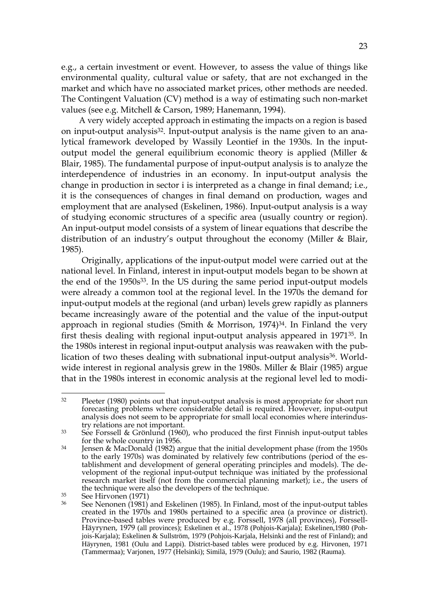e.g., a certain investment or event. However, to assess the value of things like environmental quality, cultural value or safety, that are not exchanged in the market and which have no associated market prices, other methods are needed. The Contingent Valuation (CV) method is a way of estimating such non-market values (see e.g. Mitchell & Carson, 1989; Hanemann, 1994).

 A very widely accepted approach in estimating the impacts on a region is based on input-output analysis32. Input-output analysis is the name given to an analytical framework developed by Wassily Leontief in the 1930s. In the inputoutput model the general equilibrium economic theory is applied (Miller & Blair, 1985). The fundamental purpose of input-output analysis is to analyze the interdependence of industries in an economy. In input-output analysis the change in production in sector i is interpreted as a change in final demand; i.e., it is the consequences of changes in final demand on production, wages and employment that are analysed (Eskelinen, 1986). Input-output analysis is a way of studying economic structures of a specific area (usually country or region). An input-output model consists of a system of linear equations that describe the distribution of an industry's output throughout the economy (Miller & Blair, 1985).

Originally, applications of the input-output model were carried out at the national level. In Finland, interest in input-output models began to be shown at the end of the 1950s<sup>33</sup>. In the US during the same period input-output models were already a common tool at the regional level. In the 1970s the demand for input-output models at the regional (and urban) levels grew rapidly as planners became increasingly aware of the potential and the value of the input-output approach in regional studies (Smith & Morrison,  $1974$ )<sup>34</sup>. In Finland the very first thesis dealing with regional input-output analysis appeared in 197135. In the 1980s interest in regional input-output analysis was reawaken with the publication of two theses dealing with subnational input-output analysis<sup>36</sup>. Worldwide interest in regional analysis grew in the 1980s. Miller & Blair (1985) argue that in the 1980s interest in economic analysis at the regional level led to modi-

 $32$  $32$  Pleeter (1980) points out that input-output analysis is most appropriate for short run forecasting problems where considerable detail is required. However, input-output analysis does not seem to be appropriate for small local economies where interindustry relations are not important.

 $33$  See Forssell & Grönlund (1960), who produced the first Finnish input-output tables for the whole country in 1956.

<sup>&</sup>lt;sup>34</sup> Jensen & MacDonald (1982) argue that the initial development phase (from the 1950s to the early 1970s) was dominated by relatively few contributions (period of the establishment and development of general operating principles and models). The development of the regional input-output technique was initiated by the professional research market itself (not from the commercial planning market); i.e., the users of the technique were also the developers of the technique.

 $35$  See Hirvonen (1971)

See Nenonen (1981) and Eskelinen (1985). In Finland, most of the input-output tables created in the 1970s and 1980s pertained to a specific area (a province or district). Province-based tables were produced by e.g. Forssell, 1978 (all provinces), Forssell-Häyrynen, 1979 (all provinces); Eskelinen et al., 1978 (Pohjois-Karjala); Eskelinen,1980 (Pohjois-Karjala); Eskelinen & Sullström, 1979 (Pohjois-Karjala, Helsinki and the rest of Finland); and Häyrynen, 1981 (Oulu and Lappi). District-based tables were produced by e.g. Hirvonen, 1971 (Tammermaa); Varjonen, 1977 (Helsinki); Similä, 1979 (Oulu); and Saurio, 1982 (Rauma).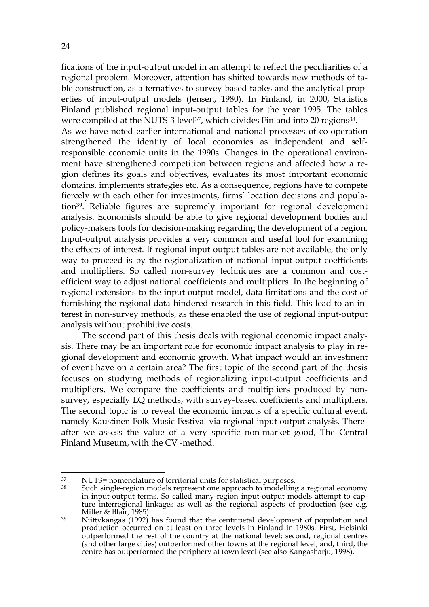fications of the input-output model in an attempt to reflect the peculiarities of a regional problem. Moreover, attention has shifted towards new methods of table construction, as alternatives to survey-based tables and the analytical properties of input-output models (Jensen, 1980). In Finland, in 2000, Statistics Finland published regional input-output tables for the year 1995. The tables were compiled at the NUTS-3 level<sup>37</sup>, which divides Finland into 20 regions<sup>38</sup>.

As we have noted earlier international and national processes of co-operation strengthened the identity of local economies as independent and selfresponsible economic units in the 1990s. Changes in the operational environment have strengthened competition between regions and affected how a region defines its goals and objectives, evaluates its most important economic domains, implements strategies etc. As a consequence, regions have to compete fiercely with each other for investments, firms' location decisions and population39. Reliable figures are supremely important for regional development analysis. Economists should be able to give regional development bodies and policy-makers tools for decision-making regarding the development of a region. Input-output analysis provides a very common and useful tool for examining the effects of interest. If regional input-output tables are not available, the only way to proceed is by the regionalization of national input-output coefficients and multipliers. So called non-survey techniques are a common and costefficient way to adjust national coefficients and multipliers. In the beginning of regional extensions to the input-output model, data limitations and the cost of furnishing the regional data hindered research in this field. This lead to an interest in non-survey methods, as these enabled the use of regional input-output analysis without prohibitive costs.

The second part of this thesis deals with regional economic impact analysis. There may be an important role for economic impact analysis to play in regional development and economic growth. What impact would an investment of event have on a certain area? The first topic of the second part of the thesis focuses on studying methods of regionalizing input-output coefficients and multipliers. We compare the coefficients and multipliers produced by nonsurvey, especially LQ methods, with survey-based coefficients and multipliers. The second topic is to reveal the economic impacts of a specific cultural event, namely Kaustinen Folk Music Festival via regional input-output analysis. Thereafter we assess the value of a very specific non-market good, The Central Finland Museum, with the CV -method.

<u>.</u>

<sup>37</sup> NUTS= nomenclature of territorial units for statistical purposes.

Such single-region models represent one approach to modelling a regional economy in input-output terms. So called many-region input-output models attempt to capture interregional linkages as well as the regional aspects of production (see e.g. Miller & Blair, 1985).

<sup>&</sup>lt;sup>39</sup> Niittykangas<sup>'</sup>(1992) has found that the centripetal development of population and production occurred on at least on three levels in Finland in 1980s. First, Helsinki outperformed the rest of the country at the national level; second, regional centres (and other large cities) outperformed other towns at the regional level; and, third, the centre has outperformed the periphery at town level (see also Kangasharju, 1998).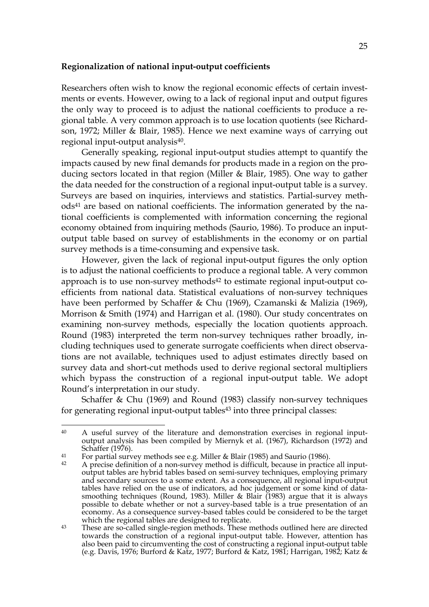#### **Regionalization of national input-output coefficients**

Researchers often wish to know the regional economic effects of certain investments or events. However, owing to a lack of regional input and output figures the only way to proceed is to adjust the national coefficients to produce a regional table. A very common approach is to use location quotients (see Richardson, 1972; Miller & Blair, 1985). Hence we next examine ways of carrying out regional input-output analysis<sup>40</sup>.

Generally speaking, regional input-output studies attempt to quantify the impacts caused by new final demands for products made in a region on the producing sectors located in that region (Miller & Blair, 1985). One way to gather the data needed for the construction of a regional input-output table is a survey. Surveys are based on inquiries, interviews and statistics. Partial-survey methods<sup>41</sup> are based on national coefficients. The information generated by the national coefficients is complemented with information concerning the regional economy obtained from inquiring methods (Saurio, 1986). To produce an inputoutput table based on survey of establishments in the economy or on partial survey methods is a time-consuming and expensive task.

However, given the lack of regional input-output figures the only option is to adjust the national coefficients to produce a regional table. A very common approach is to use non-survey methods<sup>42</sup> to estimate regional input-output coefficients from national data. Statistical evaluations of non-survey techniques have been performed by Schaffer & Chu (1969), Czamanski & Malizia (1969), Morrison & Smith (1974) and Harrigan et al. (1980). Our study concentrates on examining non-survey methods, especially the location quotients approach. Round (1983) interpreted the term non-survey techniques rather broadly, including techniques used to generate surrogate coefficients when direct observations are not available, techniques used to adjust estimates directly based on survey data and short-cut methods used to derive regional sectoral multipliers which bypass the construction of a regional input-output table. We adopt Round's interpretation in our study.

Schaffer & Chu (1969) and Round (1983) classify non-survey techniques for generating regional input-output tables<sup>43</sup> into three principal classes:

<u>.</u>

<sup>40</sup> A useful survey of the literature and demonstration exercises in regional inputoutput analysis has been compiled by Miernyk et al. (1967), Richardson (1972) and Schaffer (1976).

<sup>&</sup>lt;sup>41</sup> For partial survey methods see e.g. Miller & Blair (1985) and Saurio (1986).

A precise definition of a non-survey method is difficult, because in practice all inputoutput tables are hybrid tables based on semi-survey techniques, employing primary and secondary sources to a some extent. As a consequence, all regional input-output tables have relied on the use of indicators, ad hoc judgement or some kind of datasmoothing techniques (Round, 1983). Miller & Blair (1983) argue that it is always possible to debate whether or not a survey-based table is a true presentation of an economy. As a consequence survey-based tables could be considered to be the target which the regional tables are designed to replicate.

<sup>&</sup>lt;sup>43</sup> These are so-called single-region methods. These methods outlined here are directed towards the construction of a regional input-output table. However, attention has also been paid to circumventing the cost of constructing a regional input-output table (e.g. Davis, 1976; Burford & Katz, 1977; Burford & Katz, 1981; Harrigan, 1982; Katz &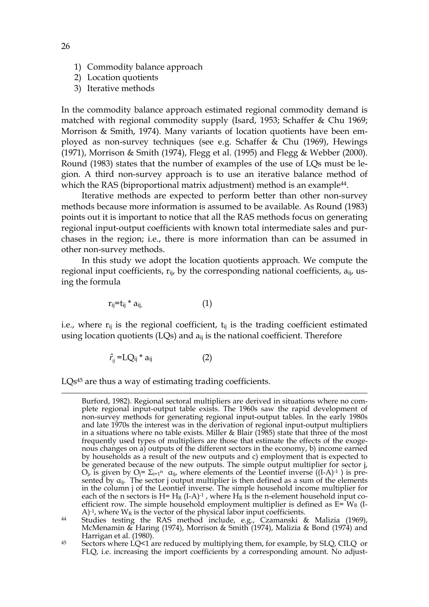- 1) Commodity balance approach
- 2) Location quotients
- 3) Iterative methods

In the commodity balance approach estimated regional commodity demand is matched with regional commodity supply (Isard, 1953; Schaffer & Chu 1969; Morrison & Smith, 1974). Many variants of location quotients have been employed as non-survey techniques (see e.g. Schaffer & Chu (1969), Hewings (1971), Morrison & Smith (1974), Flegg et al. (1995) and Flegg & Webber (2000). Round (1983) states that the number of examples of the use of LQs must be legion. A third non-survey approach is to use an iterative balance method of which the RAS (biproportional matrix adjustment) method is an example<sup>44</sup>.

Iterative methods are expected to perform better than other non-survey methods because more information is assumed to be available. As Round (1983) points out it is important to notice that all the RAS methods focus on generating regional input-output coefficients with known total intermediate sales and purchases in the region; i.e., there is more information than can be assumed in other non-survey methods.

In this study we adopt the location quotients approach. We compute the regional input coefficients,  $r_{ij}$ , by the corresponding national coefficients,  $a_{ij}$ , using the formula

$$
r_{ij}=t_{ij} * a_{ij}, \qquad (1)
$$

i.e., where  $r_{ii}$  is the regional coefficient,  $t_{ii}$  is the trading coefficient estimated using location quotients (LOs) and  $a_{ii}$  is the national coefficient. Therefore

$$
\hat{r}_{ij} = LQ_{ij} * a_{ij} \tag{2}
$$

LQs45 are thus a way of estimating trading coefficients.

Burford, 1982). Regional sectoral multipliers are derived in situations where no complete regional input-output table exists. The 1960s saw the rapid development of non-survey methods for generating regional input-output tables. In the early 1980s and late 1970s the interest was in the derivation of regional input-output multipliers in a situations where no table exists. Miller & Blair (1985) state that three of the most frequently used types of multipliers are those that estimate the effects of the exogenous changes on a) outputs of the different sectors in the economy, b) income earned by households as a result of the new outputs and c) employment that is expected to be generated because of the new outputs. The simple output multiplier for sector j,  $O_j$ , is given by  $O_j = \Sigma_{i=1}$ <sup>n</sup>  $\alpha_{ij}$ , where elements of the Leontief inverse ((I-A)<sup>-1</sup>) is presented by  $\alpha_{ij}$ . The sector j output multiplier is then defined as a sum of the elements in the column j of the Leontief inverse. The simple household income multiplier for each of the n sectors is H=  $H_R$  (I-A)<sup>-1</sup>, where  $H_R$  is the n-element household input coefficient row. The simple household employment multiplier is defined as  $E= W_R$  (I- $A$ )<sup>-1</sup>, where  $W_R$  is the vector of the physical labor input coefficients.

<sup>44</sup> Studies testing the RAS method include, e.g., Czamanski & Malizia (1969), McMenamin & Haring (1974), Morrison & Smith (1974), Malizia & Bond (1974) and Harrigan et al. (1980).

<sup>45</sup> Sectors where LQ<1 are reduced by multiplying them, for example, by SLQ, CILQ or FLQ, i.e. increasing the import coefficients by a corresponding amount. No adjust-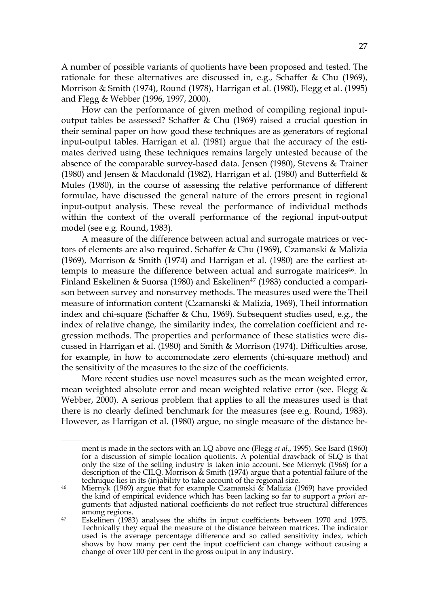A number of possible variants of quotients have been proposed and tested. The rationale for these alternatives are discussed in, e.g., Schaffer & Chu (1969), Morrison & Smith (1974), Round (1978), Harrigan et al. (1980), Flegg et al. (1995) and Flegg & Webber (1996, 1997, 2000).

How can the performance of given method of compiling regional inputoutput tables be assessed? Schaffer & Chu (1969) raised a crucial question in their seminal paper on how good these techniques are as generators of regional input-output tables. Harrigan et al. (1981) argue that the accuracy of the estimates derived using these techniques remains largely untested because of the absence of the comparable survey-based data. Jensen (1980), Stevens & Trainer (1980) and Jensen & Macdonald (1982), Harrigan et al. (1980) and Butterfield & Mules (1980), in the course of assessing the relative performance of different formulae, have discussed the general nature of the errors present in regional input-output analysis. These reveal the performance of individual methods within the context of the overall performance of the regional input-output model (see e.g. Round, 1983).

A measure of the difference between actual and surrogate matrices or vectors of elements are also required. Schaffer & Chu (1969), Czamanski & Malizia (1969), Morrison & Smith (1974) and Harrigan et al. (1980) are the earliest attempts to measure the difference between actual and surrogate matrices<sup>46</sup>. In Finland Eskelinen & Suorsa (1980) and Eskelinen<sup>47</sup> (1983) conducted a comparison between survey and nonsurvey methods. The measures used were the Theil measure of information content (Czamanski & Malizia, 1969), Theil information index and chi-square (Schaffer & Chu, 1969). Subsequent studies used, e.g., the index of relative change, the similarity index, the correlation coefficient and regression methods. The properties and performance of these statistics were discussed in Harrigan et al. (1980) and Smith & Morrison (1974). Difficulties arose, for example, in how to accommodate zero elements (chi-square method) and the sensitivity of the measures to the size of the coefficients.

More recent studies use novel measures such as the mean weighted error, mean weighted absolute error and mean weighted relative error (see. Flegg & Webber, 2000). A serious problem that applies to all the measures used is that there is no clearly defined benchmark for the measures (see e.g. Round, 1983). However, as Harrigan et al. (1980) argue, no single measure of the distance be-

ment is made in the sectors with an LQ above one (Flegg *et al.*, 1995). See Isard (1960) for a discussion of simple location quotients. A potential drawback of SLQ is that only the size of the selling industry is taken into account. See Miernyk (1968) for a description of the CILQ. Morrison & Smith (1974) argue that a potential failure of the technique lies in its (in)ability to take account of the regional size.

<sup>&</sup>lt;sup>46</sup> Miernyk (1969) argue that for example Czamanski & Malizia (1969) have provided the kind of empirical evidence which has been lacking so far to support *a priori* arguments that adjusted national coefficients do not reflect true structural differences among regions.

<sup>47</sup> Eskelinen (1983) analyses the shifts in input coefficients between 1970 and 1975. Technically they equal the measure of the distance between matrices. The indicator used is the average percentage difference and so called sensitivity index, which shows by how many per cent the input coefficient can change without causing a change of over 100 per cent in the gross output in any industry.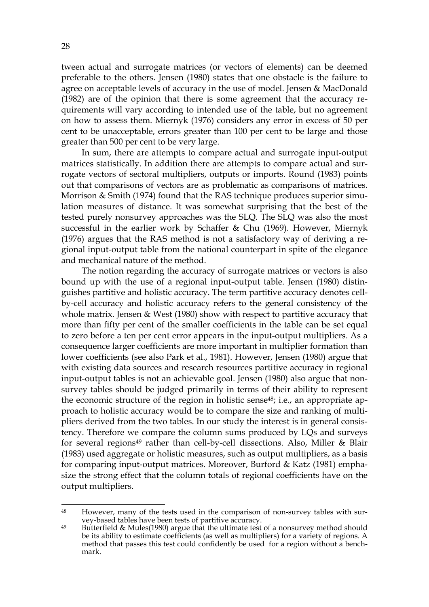tween actual and surrogate matrices (or vectors of elements) can be deemed preferable to the others. Jensen (1980) states that one obstacle is the failure to agree on acceptable levels of accuracy in the use of model. Jensen & MacDonald (1982) are of the opinion that there is some agreement that the accuracy requirements will vary according to intended use of the table, but no agreement on how to assess them. Miernyk (1976) considers any error in excess of 50 per cent to be unacceptable, errors greater than 100 per cent to be large and those greater than 500 per cent to be very large.

In sum, there are attempts to compare actual and surrogate input-output matrices statistically. In addition there are attempts to compare actual and surrogate vectors of sectoral multipliers, outputs or imports. Round (1983) points out that comparisons of vectors are as problematic as comparisons of matrices. Morrison & Smith (1974) found that the RAS technique produces superior simulation measures of distance. It was somewhat surprising that the best of the tested purely nonsurvey approaches was the SLQ. The SLQ was also the most successful in the earlier work by Schaffer & Chu (1969). However, Miernyk (1976) argues that the RAS method is not a satisfactory way of deriving a regional input-output table from the national counterpart in spite of the elegance and mechanical nature of the method.

The notion regarding the accuracy of surrogate matrices or vectors is also bound up with the use of a regional input-output table. Jensen (1980) distinguishes partitive and holistic accuracy. The term partitive accuracy denotes cellby-cell accuracy and holistic accuracy refers to the general consistency of the whole matrix. Jensen & West (1980) show with respect to partitive accuracy that more than fifty per cent of the smaller coefficients in the table can be set equal to zero before a ten per cent error appears in the input-output multipliers. As a consequence larger coefficients are more important in multiplier formation than lower coefficients (see also Park et al., 1981). However, Jensen (1980) argue that with existing data sources and research resources partitive accuracy in regional input-output tables is not an achievable goal. Jensen (1980) also argue that nonsurvey tables should be judged primarily in terms of their ability to represent the economic structure of the region in holistic sense<sup>48</sup>; i.e., an appropriate approach to holistic accuracy would be to compare the size and ranking of multipliers derived from the two tables. In our study the interest is in general consistency. Therefore we compare the column sums produced by LQs and surveys for several regions<sup>49</sup> rather than cell-by-cell dissections. Also, Miller  $\&$  Blair (1983) used aggregate or holistic measures, such as output multipliers, as a basis for comparing input-output matrices. Moreover, Burford & Katz (1981) emphasize the strong effect that the column totals of regional coefficients have on the output multipliers.

<sup>48</sup> However, many of the tests used in the comparison of non-survey tables with survey-based tables have been tests of partitive accuracy.

<sup>&</sup>lt;sup>49</sup> Butterfield & Mules(1980) argue that the ultimate test of a nonsurvey method should be its ability to estimate coefficients (as well as multipliers) for a variety of regions. A method that passes this test could confidently be used for a region without a benchmark.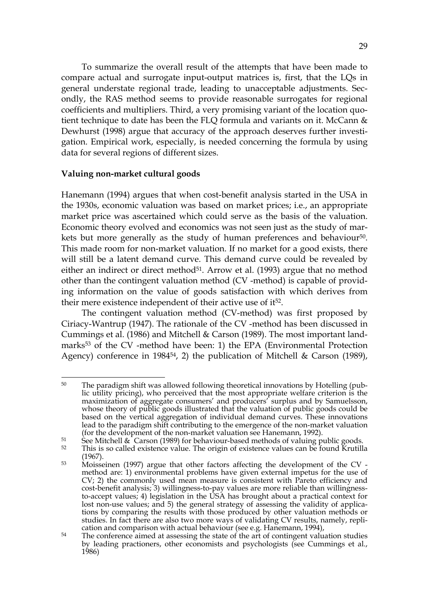To summarize the overall result of the attempts that have been made to compare actual and surrogate input-output matrices is, first, that the LQs in general understate regional trade, leading to unacceptable adjustments. Secondly, the RAS method seems to provide reasonable surrogates for regional coefficients and multipliers. Third, a very promising variant of the location quotient technique to date has been the FLQ formula and variants on it. McCann & Dewhurst (1998) argue that accuracy of the approach deserves further investigation. Empirical work, especially, is needed concerning the formula by using data for several regions of different sizes.

#### **Valuing non-market cultural goods**

<u>.</u>

Hanemann (1994) argues that when cost-benefit analysis started in the USA in the 1930s, economic valuation was based on market prices; i.e., an appropriate market price was ascertained which could serve as the basis of the valuation. Economic theory evolved and economics was not seen just as the study of markets but more generally as the study of human preferences and behaviour<sup>50</sup>. This made room for non-market valuation. If no market for a good exists, there will still be a latent demand curve. This demand curve could be revealed by either an indirect or direct method<sup>51</sup>. Arrow et al.  $(1993)$  argue that no method other than the contingent valuation method (CV -method) is capable of providing information on the value of goods satisfaction with which derives from their mere existence independent of their active use of it52.

The contingent valuation method (CV-method) was first proposed by Ciriacy-Wantrup (1947). The rationale of the CV -method has been discussed in Cummings et al. (1986) and Mitchell & Carson (1989). The most important landmarks53 of the CV -method have been: 1) the EPA (Environmental Protection Agency) conference in 1984<sup>54</sup>, 2) the publication of Mitchell & Carson (1989),

<sup>&</sup>lt;sup>50</sup> The paradigm shift was allowed following theoretical innovations by Hotelling (public utility pricing), who perceived that the most appropriate welfare criterion is the maximization of aggregate consumers' and producers' surplus and by Samuelsson, whose theory of public goods illustrated that the valuation of public goods could be based on the vertical aggregation of individual demand curves. These innovations lead to the paradigm shift contributing to the emergence of the non-market valuation (for the development of the non-market valuation see Hanemann, 1992).

 $51$  See Mitchell  $\&$  Carson (1989) for behaviour-based methods of valuing public goods.<br> $52$  This is so called ovictors value. The origin of ovictors values can be found Krutilli

This is so called existence value. The origin of existence values can be found Krutilla (1967).

<sup>53</sup> Moisseinen (1997) argue that other factors affecting the development of the CV method are: 1) environmental problems have given external impetus for the use of CV; 2) the commonly used mean measure is consistent with Pareto efficiency and cost-benefit analysis; 3) willingness-to-pay values are more reliable than willingnessto-accept values; 4) legislation in the USA has brought about a practical context for lost non-use values; and 5) the general strategy of assessing the validity of applications by comparing the results with those produced by other valuation methods or studies. In fact there are also two more ways of validating CV results, namely, replication and comparison with actual behaviour (see e.g. Hanemann, 1994),

<sup>&</sup>lt;sup>54</sup> The conference aimed at assessing the state of the art of contingent valuation studies by leading practioners, other economists and psychologists (see Cummings et al., 1986)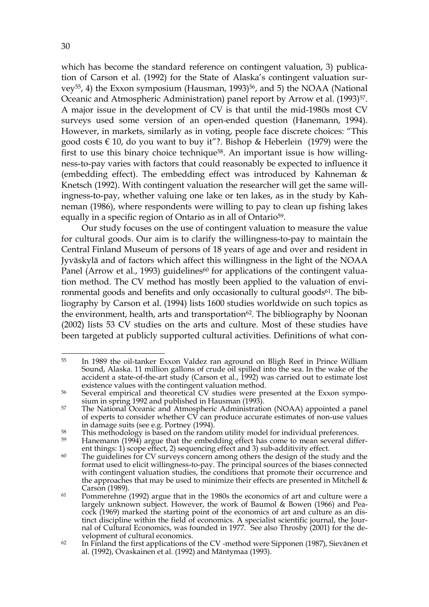which has become the standard reference on contingent valuation, 3) publication of Carson et al. (1992) for the State of Alaska's contingent valuation survey<sup>55</sup>, 4) the Exxon symposium (Hausman, 1993)<sup>56</sup>, and 5) the NOAA (National Oceanic and Atmospheric Administration) panel report by Arrow et al. (1993)<sup>57</sup>. A major issue in the development of CV is that until the mid-1980s most CV surveys used some version of an open-ended question (Hanemann, 1994). However, in markets, similarly as in voting, people face discrete choices: "This good costs  $\epsilon$  10, do you want to buy it"?. Bishop & Heberlein (1979) were the first to use this binary choice technique58. An important issue is how willingness-to-pay varies with factors that could reasonably be expected to influence it (embedding effect). The embedding effect was introduced by Kahneman & Knetsch (1992). With contingent valuation the researcher will get the same willingness-to-pay, whether valuing one lake or ten lakes, as in the study by Kahneman (1986), where respondents were willing to pay to clean up fishing lakes equally in a specific region of Ontario as in all of Ontario<sup>59</sup>.

Our study focuses on the use of contingent valuation to measure the value for cultural goods. Our aim is to clarify the willingness-to-pay to maintain the Central Finland Museum of persons of 18 years of age and over and resident in Jyväskylä and of factors which affect this willingness in the light of the NOAA Panel (Arrow et al., 1993) guidelines<sup>60</sup> for applications of the contingent valuation method. The CV method has mostly been applied to the valuation of environmental goods and benefits and only occasionally to cultural goods<sup>61</sup>. The bibliography by Carson et al. (1994) lists 1600 studies worldwide on such topics as the environment, health, arts and transportation<sup>62</sup>. The bibliography by Noonan (2002) lists 53 CV studies on the arts and culture. Most of these studies have been targeted at publicly supported cultural activities. Definitions of what con-

<sup>&</sup>lt;u>.</u> 55 In 1989 the oil-tanker Exxon Valdez ran aground on Bligh Reef in Prince William Sound, Alaska. 11 million gallons of crude oil spilled into the sea. In the wake of the accident a state-of-the-art study (Carson et al., 1992) was carried out to estimate lost existence values with the contingent valuation method.

<sup>56</sup> Several empirical and theoretical CV studies were presented at the Exxon symposium in spring 1992 and published in Hausman (1993).

<sup>&</sup>lt;sup>57</sup> The National Oceanic and Atmospheric Administration (NOAA) appointed a panel of experts to consider whether CV can produce accurate estimates of non-use values in damage suits (see e.g. Portney (1994).

 $58$  This methodology is based on the random utility model for individual preferences.

<sup>&</sup>lt;sup>59</sup> Hanemann (1994) argue that the embedding effect has come to mean several different things: 1) scope effect, 2) sequencing effect and 3) sub-additivity effect.

 $60$  The guidelines for CV surveys concern among others the design of the study and the format used to elicit willingness-to-pay. The principal sources of the biases connected with contingent valuation studies, the conditions that promote their occurrence and the approaches that may be used to minimize their effects are presented in Mitchell  $\&$ Carson (1989).

<sup>&</sup>lt;sup>61</sup> Pommerehne (1992) argue that in the 1980s the economics of art and culture were a largely unknown subject. However, the work of Baumol & Bowen (1966) and Peacock (1969) marked the starting point of the economics of art and culture as an distinct discipline within the field of economics. A specialist scientific journal, the Journal of Cultural Economics, was founded in 1977. See also Throsby (2001) for the development of cultural economics.

 $62$  In Finland the first applications of the CV-method were Sipponen (1987), Sievänen et al. (1992), Ovaskainen et al. (1992) and Mäntymaa (1993).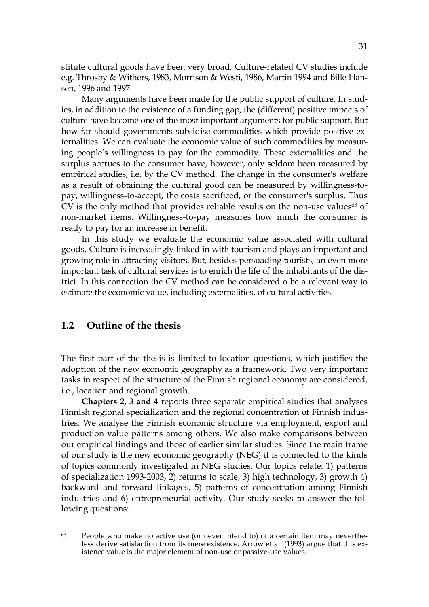stitute cultural goods have been very broad. Culture-related CV studies include e.g. Throsby & Withers, 1983, Morrison & Westi, 1986, Martin 1994 and Bille Hansen, 1996 and 1997.

Many arguments have been made for the public support of culture. In studies, in addition to the existence of a funding gap, the (different) positive impacts of culture have become one of the most important arguments for public support. But how far should governments subsidise commodities which provide positive externalities. We can evaluate the economic value of such commodities by measuring people's willingness to pay for the commodity. These externalities and the surplus accrues to the consumer have, however, only seldom been measured by empirical studies, i.e. by the CV method. The change in the consumer's welfare as a result of obtaining the cultural good can be measured by willingness-topay, willingness-to-accept, the costs sacrificed, or the consumer's surplus. Thus CV is the only method that provides reliable results on the non-use values<sup>63</sup> of non-market items. Willingness-to-pay measures how much the consumer is ready to pay for an increase in benefit.

In this study we evaluate the economic value associated with cultural goods. Culture is increasingly linked in with tourism and plays an important and growing role in attracting visitors. But, besides persuading tourists, an even more important task of cultural services is to enrich the life of the inhabitants of the district. In this connection the CV method can be considered o be a relevant way to estimate the economic value, including externalities, of cultural activities.

#### **1.2 Outline of the thesis**

1

The first part of the thesis is limited to location questions, which justifies the adoption of the new economic geography as a framework. Two very important tasks in respect of the structure of the Finnish regional economy are considered, i.e., location and regional growth.

**Chapters 2, 3 and 4** reports three separate empirical studies that analyses Finnish regional specialization and the regional concentration of Finnish industries. We analyse the Finnish economic structure via employment, export and production value patterns among others. We also make comparisons between our empirical findings and those of earlier similar studies. Since the main frame of our study is the new economic geography (NEG) it is connected to the kinds of topics commonly investigated in NEG studies. Our topics relate: 1) patterns of specialization 1993-2003, 2) returns to scale, 3) high technology, 3) growth 4) backward and forward linkages, 5) patterns of concentration among Finnish industries and 6) entrepreneurial activity. Our study seeks to answer the following questions:

<sup>63</sup> People who make no active use (or never intend to) of a certain item may nevertheless derive satisfaction from its mere existence. Arrow et al. (1993) argue that this existence value is the major element of non-use or passive-use values.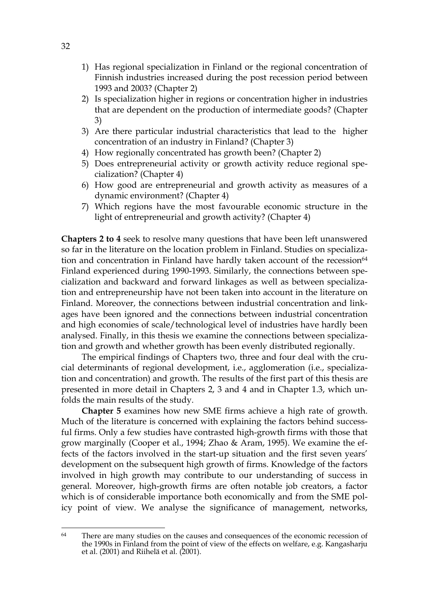- 1) Has regional specialization in Finland or the regional concentration of Finnish industries increased during the post recession period between 1993 and 2003? (Chapter 2)
- 2) Is specialization higher in regions or concentration higher in industries that are dependent on the production of intermediate goods? (Chapter 3)
- 3) Are there particular industrial characteristics that lead to the higher concentration of an industry in Finland? (Chapter 3)
- 4) How regionally concentrated has growth been? (Chapter 2)
- 5) Does entrepreneurial activity or growth activity reduce regional specialization? (Chapter 4)
- 6) How good are entrepreneurial and growth activity as measures of a dynamic environment? (Chapter 4)
- 7) Which regions have the most favourable economic structure in the light of entrepreneurial and growth activity? (Chapter 4)

**Chapters 2 to 4** seek to resolve many questions that have been left unanswered so far in the literature on the location problem in Finland. Studies on specialization and concentration in Finland have hardly taken account of the recession<sup>64</sup> Finland experienced during 1990-1993. Similarly, the connections between specialization and backward and forward linkages as well as between specialization and entrepreneurship have not been taken into account in the literature on Finland. Moreover, the connections between industrial concentration and linkages have been ignored and the connections between industrial concentration and high economies of scale/technological level of industries have hardly been analysed. Finally, in this thesis we examine the connections between specialization and growth and whether growth has been evenly distributed regionally.

The empirical findings of Chapters two, three and four deal with the crucial determinants of regional development, i.e., agglomeration (i.e., specialization and concentration) and growth. The results of the first part of this thesis are presented in more detail in Chapters 2, 3 and 4 and in Chapter 1.3, which unfolds the main results of the study.

**Chapter 5** examines how new SME firms achieve a high rate of growth. Much of the literature is concerned with explaining the factors behind successful firms. Only a few studies have contrasted high-growth firms with those that grow marginally (Cooper et al., 1994; Zhao & Aram, 1995). We examine the effects of the factors involved in the start-up situation and the first seven years' development on the subsequent high growth of firms. Knowledge of the factors involved in high growth may contribute to our understanding of success in general. Moreover, high-growth firms are often notable job creators, a factor which is of considerable importance both economically and from the SME policy point of view. We analyse the significance of management, networks,

<sup>1</sup> <sup>64</sup> There are many studies on the causes and consequences of the economic recession of the 1990s in Finland from the point of view of the effects on welfare, e.g. Kangasharju et al. (2001) and Riihelä et al. (2001).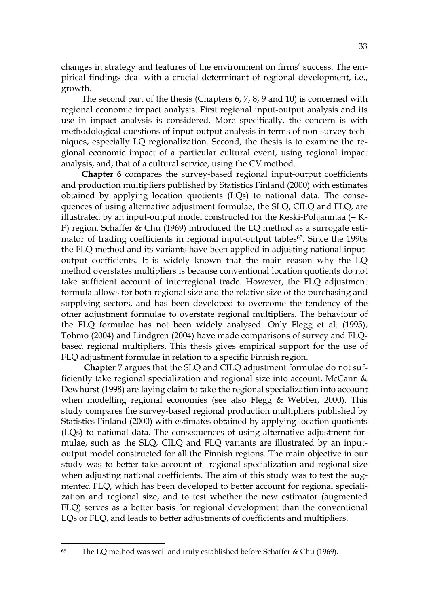changes in strategy and features of the environment on firms' success. The empirical findings deal with a crucial determinant of regional development, i.e., growth.

The second part of the thesis (Chapters 6, 7, 8, 9 and 10) is concerned with regional economic impact analysis. First regional input-output analysis and its use in impact analysis is considered. More specifically, the concern is with methodological questions of input-output analysis in terms of non-survey techniques, especially LQ regionalization. Second, the thesis is to examine the regional economic impact of a particular cultural event, using regional impact analysis, and, that of a cultural service, using the CV method.

**Chapter 6** compares the survey-based regional input-output coefficients and production multipliers published by Statistics Finland (2000) with estimates obtained by applying location quotients (LQs) to national data. The consequences of using alternative adjustment formulae, the SLQ, CILQ and FLQ, are illustrated by an input-output model constructed for the Keski-Pohjanmaa (= K-P) region. Schaffer & Chu (1969) introduced the LQ method as a surrogate estimator of trading coefficients in regional input-output tables<sup>65</sup>. Since the 1990s the FLQ method and its variants have been applied in adjusting national inputoutput coefficients. It is widely known that the main reason why the LQ method overstates multipliers is because conventional location quotients do not take sufficient account of interregional trade. However, the FLQ adjustment formula allows for both regional size and the relative size of the purchasing and supplying sectors, and has been developed to overcome the tendency of the other adjustment formulae to overstate regional multipliers. The behaviour of the FLQ formulae has not been widely analysed. Only Flegg et al. (1995), Tohmo (2004) and Lindgren (2004) have made comparisons of survey and FLQbased regional multipliers. This thesis gives empirical support for the use of FLQ adjustment formulae in relation to a specific Finnish region.

**Chapter 7** argues that the SLQ and CILQ adjustment formulae do not sufficiently take regional specialization and regional size into account. McCann  $\&$ Dewhurst (1998) are laying claim to take the regional specialization into account when modelling regional economies (see also Flegg & Webber, 2000). This study compares the survey-based regional production multipliers published by Statistics Finland (2000) with estimates obtained by applying location quotients (LQs) to national data. The consequences of using alternative adjustment formulae, such as the SLQ, CILQ and FLQ variants are illustrated by an inputoutput model constructed for all the Finnish regions. The main objective in our study was to better take account of regional specialization and regional size when adjusting national coefficients. The aim of this study was to test the augmented FLQ, which has been developed to better account for regional specialization and regional size, and to test whether the new estimator (augmented FLQ) serves as a better basis for regional development than the conventional LQs or FLQ, and leads to better adjustments of coefficients and multipliers.

<sup>&</sup>lt;u>.</u> 65 The LQ method was well and truly established before Schaffer & Chu (1969).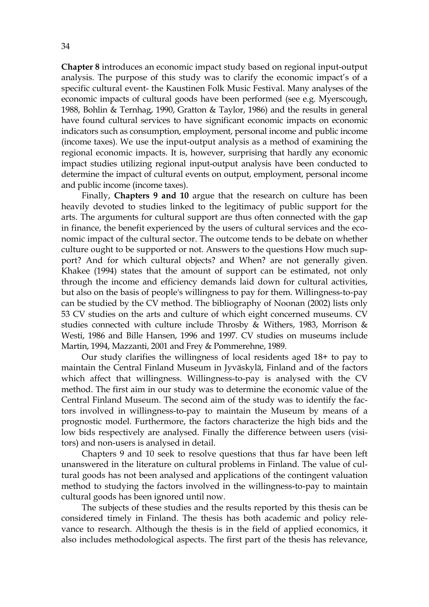**Chapter 8** introduces an economic impact study based on regional input-output analysis. The purpose of this study was to clarify the economic impact's of a specific cultural event- the Kaustinen Folk Music Festival. Many analyses of the economic impacts of cultural goods have been performed (see e.g. Myerscough, 1988, Bohlin & Ternhag, 1990, Gratton & Taylor, 1986) and the results in general have found cultural services to have significant economic impacts on economic indicators such as consumption, employment, personal income and public income (income taxes). We use the input-output analysis as a method of examining the regional economic impacts. It is, however, surprising that hardly any economic impact studies utilizing regional input-output analysis have been conducted to determine the impact of cultural events on output, employment, personal income and public income (income taxes).

Finally, **Chapters 9 and 10** argue that the research on culture has been heavily devoted to studies linked to the legitimacy of public support for the arts. The arguments for cultural support are thus often connected with the gap in finance, the benefit experienced by the users of cultural services and the economic impact of the cultural sector. The outcome tends to be debate on whether culture ought to be supported or not. Answers to the questions How much support? And for which cultural objects? and When? are not generally given. Khakee (1994) states that the amount of support can be estimated, not only through the income and efficiency demands laid down for cultural activities, but also on the basis of people's willingness to pay for them. Willingness-to-pay can be studied by the CV method. The bibliography of Noonan (2002) lists only 53 CV studies on the arts and culture of which eight concerned museums. CV studies connected with culture include Throsby & Withers, 1983, Morrison & Westi, 1986 and Bille Hansen, 1996 and 1997. CV studies on museums include Martin, 1994, Mazzanti, 2001 and Frey & Pommerehne, 1989.

Our study clarifies the willingness of local residents aged 18+ to pay to maintain the Central Finland Museum in Jyväskylä, Finland and of the factors which affect that willingness. Willingness-to-pay is analysed with the CV method. The first aim in our study was to determine the economic value of the Central Finland Museum. The second aim of the study was to identify the factors involved in willingness-to-pay to maintain the Museum by means of a prognostic model. Furthermore, the factors characterize the high bids and the low bids respectively are analysed. Finally the difference between users (visitors) and non-users is analysed in detail.

Chapters 9 and 10 seek to resolve questions that thus far have been left unanswered in the literature on cultural problems in Finland. The value of cultural goods has not been analysed and applications of the contingent valuation method to studying the factors involved in the willingness-to-pay to maintain cultural goods has been ignored until now.

The subjects of these studies and the results reported by this thesis can be considered timely in Finland. The thesis has both academic and policy relevance to research. Although the thesis is in the field of applied economics, it also includes methodological aspects. The first part of the thesis has relevance,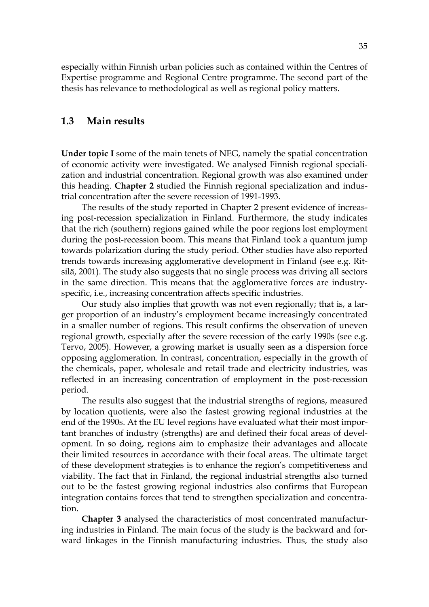especially within Finnish urban policies such as contained within the Centres of Expertise programme and Regional Centre programme. The second part of the thesis has relevance to methodological as well as regional policy matters.

#### **1.3 Main results**

**Under topic I** some of the main tenets of NEG, namely the spatial concentration of economic activity were investigated. We analysed Finnish regional specialization and industrial concentration. Regional growth was also examined under this heading. **Chapter 2** studied the Finnish regional specialization and industrial concentration after the severe recession of 1991-1993.

The results of the study reported in Chapter 2 present evidence of increasing post-recession specialization in Finland. Furthermore, the study indicates that the rich (southern) regions gained while the poor regions lost employment during the post-recession boom. This means that Finland took a quantum jump towards polarization during the study period. Other studies have also reported trends towards increasing agglomerative development in Finland (see e.g. Ritsilä, 2001). The study also suggests that no single process was driving all sectors in the same direction. This means that the agglomerative forces are industryspecific, i.e., increasing concentration affects specific industries.

Our study also implies that growth was not even regionally; that is, a larger proportion of an industry's employment became increasingly concentrated in a smaller number of regions. This result confirms the observation of uneven regional growth, especially after the severe recession of the early 1990s (see e.g. Tervo, 2005). However, a growing market is usually seen as a dispersion force opposing agglomeration. In contrast, concentration, especially in the growth of the chemicals, paper, wholesale and retail trade and electricity industries, was reflected in an increasing concentration of employment in the post-recession period.

The results also suggest that the industrial strengths of regions, measured by location quotients, were also the fastest growing regional industries at the end of the 1990s. At the EU level regions have evaluated what their most important branches of industry (strengths) are and defined their focal areas of development. In so doing, regions aim to emphasize their advantages and allocate their limited resources in accordance with their focal areas. The ultimate target of these development strategies is to enhance the region's competitiveness and viability. The fact that in Finland, the regional industrial strengths also turned out to be the fastest growing regional industries also confirms that European integration contains forces that tend to strengthen specialization and concentration.

**Chapter 3** analysed the characteristics of most concentrated manufacturing industries in Finland. The main focus of the study is the backward and forward linkages in the Finnish manufacturing industries. Thus, the study also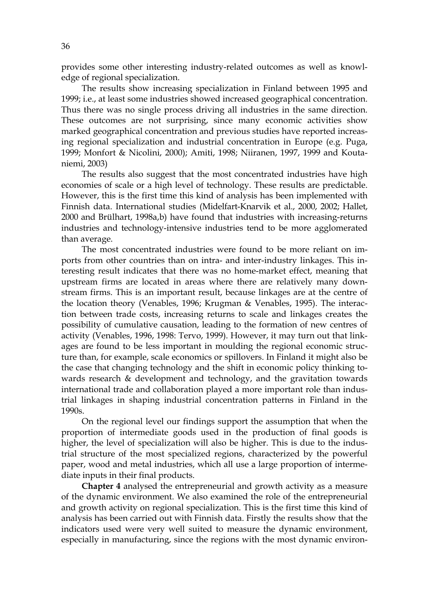provides some other interesting industry-related outcomes as well as knowledge of regional specialization.

The results show increasing specialization in Finland between 1995 and 1999; i.e., at least some industries showed increased geographical concentration. Thus there was no single process driving all industries in the same direction. These outcomes are not surprising, since many economic activities show marked geographical concentration and previous studies have reported increasing regional specialization and industrial concentration in Europe (e.g. Puga, 1999; Monfort & Nicolini, 2000); Amiti, 1998; Niiranen, 1997, 1999 and Koutaniemi, 2003)

The results also suggest that the most concentrated industries have high economies of scale or a high level of technology. These results are predictable. However, this is the first time this kind of analysis has been implemented with Finnish data. International studies (Midelfart-Knarvik et al., 2000, 2002; Hallet, 2000 and Brülhart, 1998a,b) have found that industries with increasing-returns industries and technology-intensive industries tend to be more agglomerated than average.

The most concentrated industries were found to be more reliant on imports from other countries than on intra- and inter-industry linkages. This interesting result indicates that there was no home-market effect, meaning that upstream firms are located in areas where there are relatively many downstream firms. This is an important result, because linkages are at the centre of the location theory (Venables, 1996; Krugman & Venables, 1995). The interaction between trade costs, increasing returns to scale and linkages creates the possibility of cumulative causation, leading to the formation of new centres of activity (Venables, 1996, 1998: Tervo, 1999). However, it may turn out that linkages are found to be less important in moulding the regional economic structure than, for example, scale economics or spillovers. In Finland it might also be the case that changing technology and the shift in economic policy thinking towards research  $\&$  development and technology, and the gravitation towards international trade and collaboration played a more important role than industrial linkages in shaping industrial concentration patterns in Finland in the 1990s.

On the regional level our findings support the assumption that when the proportion of intermediate goods used in the production of final goods is higher, the level of specialization will also be higher. This is due to the industrial structure of the most specialized regions, characterized by the powerful paper, wood and metal industries, which all use a large proportion of intermediate inputs in their final products.

**Chapter 4** analysed the entrepreneurial and growth activity as a measure of the dynamic environment. We also examined the role of the entrepreneurial and growth activity on regional specialization. This is the first time this kind of analysis has been carried out with Finnish data. Firstly the results show that the indicators used were very well suited to measure the dynamic environment, especially in manufacturing, since the regions with the most dynamic environ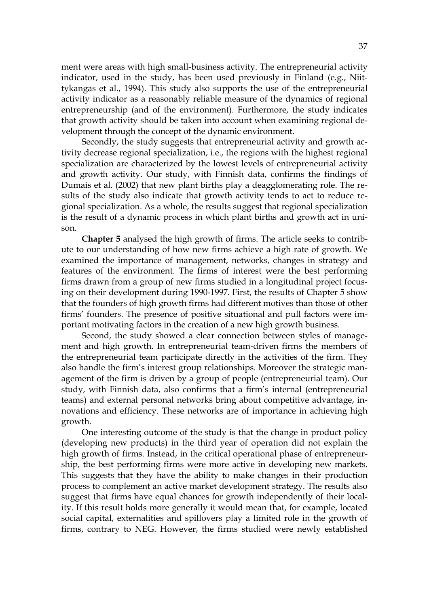ment were areas with high small-business activity. The entrepreneurial activity indicator, used in the study, has been used previously in Finland (e.g., Niittykangas et al., 1994). This study also supports the use of the entrepreneurial activity indicator as a reasonably reliable measure of the dynamics of regional entrepreneurship (and of the environment). Furthermore, the study indicates that growth activity should be taken into account when examining regional development through the concept of the dynamic environment.

Secondly, the study suggests that entrepreneurial activity and growth activity decrease regional specialization, i.e., the regions with the highest regional specialization are characterized by the lowest levels of entrepreneurial activity and growth activity. Our study, with Finnish data, confirms the findings of Dumais et al. (2002) that new plant births play a deagglomerating role. The results of the study also indicate that growth activity tends to act to reduce regional specialization. As a whole, the results suggest that regional specialization is the result of a dynamic process in which plant births and growth act in unison.

**Chapter 5** analysed the high growth of firms. The article seeks to contribute to our understanding of how new firms achieve a high rate of growth. We examined the importance of management, networks, changes in strategy and features of the environment. The firms of interest were the best performing firms drawn from a group of new firms studied in a longitudinal project focusing on their development during 1990-1997. First, the results of Chapter 5 show that the founders of high growth firms had different motives than those of other firms' founders. The presence of positive situational and pull factors were important motivating factors in the creation of a new high growth business.

Second, the study showed a clear connection between styles of management and high growth. In entrepreneurial team-driven firms the members of the entrepreneurial team participate directly in the activities of the firm. They also handle the firm's interest group relationships. Moreover the strategic management of the firm is driven by a group of people (entrepreneurial team). Our study, with Finnish data, also confirms that a firm's internal (entrepreneurial teams) and external personal networks bring about competitive advantage, innovations and efficiency. These networks are of importance in achieving high growth.

One interesting outcome of the study is that the change in product policy (developing new products) in the third year of operation did not explain the high growth of firms. Instead, in the critical operational phase of entrepreneurship, the best performing firms were more active in developing new markets. This suggests that they have the ability to make changes in their production process to complement an active market development strategy. The results also suggest that firms have equal chances for growth independently of their locality. If this result holds more generally it would mean that, for example, located social capital, externalities and spillovers play a limited role in the growth of firms, contrary to NEG. However, the firms studied were newly established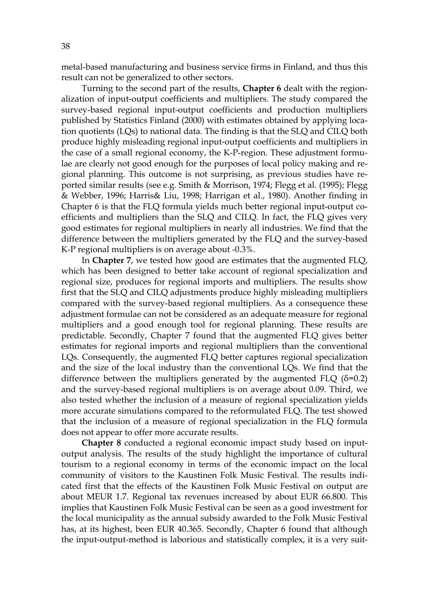metal-based manufacturing and business service firms in Finland, and thus this result can not be generalized to other sectors.

Turning to the second part of the results, **Chapter 6** dealt with the regionalization of input-output coefficients and multipliers. The study compared the survey-based regional input-output coefficients and production multipliers published by Statistics Finland (2000) with estimates obtained by applying location quotients (LQs) to national data. The finding is that the SLQ and CILQ both produce highly misleading regional input-output coefficients and multipliers in the case of a small regional economy, the K-P-region. These adjustment formulae are clearly not good enough for the purposes of local policy making and regional planning. This outcome is not surprising, as previous studies have reported similar results (see e.g. Smith & Morrison, 1974; Flegg et al. (1995); Flegg & Webber, 1996; Harris& Liu, 1998; Harrigan et al., 1980). Another finding in Chapter 6 is that the FLQ formula yields much better regional input-output coefficients and multipliers than the SLQ and CILQ. In fact, the FLQ gives very good estimates for regional multipliers in nearly all industries. We find that the difference between the multipliers generated by the FLQ and the survey-based K-P regional multipliers is on average about -0.3%.

In **Chapter 7**, we tested how good are estimates that the augmented FLQ, which has been designed to better take account of regional specialization and regional size, produces for regional imports and multipliers. The results show first that the SLQ and CILQ adjustments produce highly misleading multipliers compared with the survey-based regional multipliers. As a consequence these adjustment formulae can not be considered as an adequate measure for regional multipliers and a good enough tool for regional planning. These results are predictable. Secondly, Chapter 7 found that the augmented FLQ gives better estimates for regional imports and regional multipliers than the conventional LQs. Consequently, the augmented FLQ better captures regional specialization and the size of the local industry than the conventional LQs. We find that the difference between the multipliers generated by the augmented FLQ  $(\delta=0.2)$ and the survey-based regional multipliers is on average about 0.09. Third, we also tested whether the inclusion of a measure of regional specialization yields more accurate simulations compared to the reformulated FLQ. The test showed that the inclusion of a measure of regional specialization in the FLQ formula does not appear to offer more accurate results.

**Chapter 8** conducted a regional economic impact study based on inputoutput analysis. The results of the study highlight the importance of cultural tourism to a regional economy in terms of the economic impact on the local community of visitors to the Kaustinen Folk Music Festival. The results indicated first that the effects of the Kaustinen Folk Music Festival on output are about MEUR 1.7. Regional tax revenues increased by about EUR 66.800. This implies that Kaustinen Folk Music Festival can be seen as a good investment for the local municipality as the annual subsidy awarded to the Folk Music Festival has, at its highest, been EUR 40.365. Secondly, Chapter 6 found that although the input-output-method is laborious and statistically complex, it is a very suit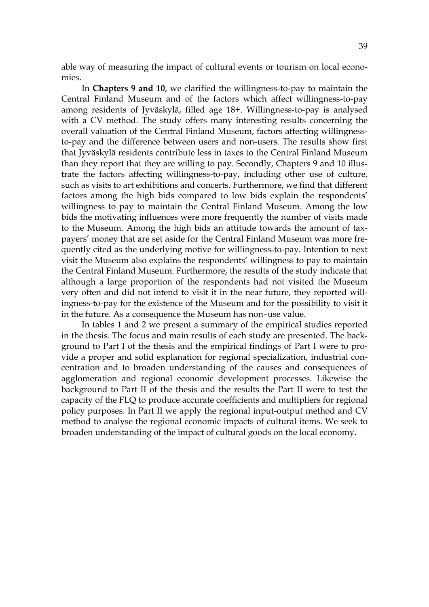able way of measuring the impact of cultural events or tourism on local economies.

In **Chapters 9 and 10**, we clarified the willingness-to-pay to maintain the Central Finland Museum and of the factors which affect willingness-to-pay among residents of Jyväskylä, filled age 18+. Willingness-to-pay is analysed with a CV method. The study offers many interesting results concerning the overall valuation of the Central Finland Museum, factors affecting willingnessto-pay and the difference between users and non-users. The results show first that Jyväskylä residents contribute less in taxes to the Central Finland Museum than they report that they are willing to pay. Secondly, Chapters 9 and 10 illustrate the factors affecting willingness-to-pay, including other use of culture, such as visits to art exhibitions and concerts. Furthermore, we find that different factors among the high bids compared to low bids explain the respondents' willingness to pay to maintain the Central Finland Museum. Among the low bids the motivating influences were more frequently the number of visits made to the Museum. Among the high bids an attitude towards the amount of taxpayers' money that are set aside for the Central Finland Museum was more frequently cited as the underlying motive for willingness-to-pay. Intention to next visit the Museum also explains the respondents' willingness to pay to maintain the Central Finland Museum. Furthermore, the results of the study indicate that although a large proportion of the respondents had not visited the Museum very often and did not intend to visit it in the near future, they reported willingness-to-pay for the existence of the Museum and for the possibility to visit it in the future. As a consequence the Museum has non–use value.

In tables 1 and 2 we present a summary of the empirical studies reported in the thesis. The focus and main results of each study are presented. The background to Part I of the thesis and the empirical findings of Part I were to provide a proper and solid explanation for regional specialization, industrial concentration and to broaden understanding of the causes and consequences of agglomeration and regional economic development processes. Likewise the background to Part II of the thesis and the results the Part II were to test the capacity of the FLQ to produce accurate coefficients and multipliers for regional policy purposes. In Part II we apply the regional input-output method and CV method to analyse the regional economic impacts of cultural items. We seek to broaden understanding of the impact of cultural goods on the local economy.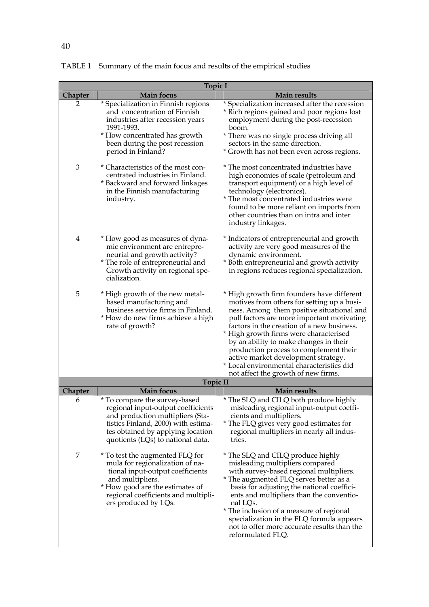| <b>Topic I</b> |                                                                                                                                                                                                                              |                                                                                                                                                                                                                                                                                                                                                                                                                                                                                            |  |
|----------------|------------------------------------------------------------------------------------------------------------------------------------------------------------------------------------------------------------------------------|--------------------------------------------------------------------------------------------------------------------------------------------------------------------------------------------------------------------------------------------------------------------------------------------------------------------------------------------------------------------------------------------------------------------------------------------------------------------------------------------|--|
| Chapter        | <b>Main focus</b>                                                                                                                                                                                                            | <b>Main results</b>                                                                                                                                                                                                                                                                                                                                                                                                                                                                        |  |
| 2              | * Specialization in Finnish regions<br>and concentration of Finnish<br>industries after recession years<br>1991-1993.<br>* How concentrated has growth<br>been during the post recession<br>period in Finland?               | * Specialization increased after the recession<br>* Rich regions gained and poor regions lost<br>employment during the post-recession<br>boom.<br>* There was no single process driving all<br>sectors in the same direction.<br>* Growth has not been even across regions.                                                                                                                                                                                                                |  |
| 3              | * Characteristics of the most con-<br>centrated industries in Finland.<br>* Backward and forward linkages<br>in the Finnish manufacturing<br>industry.                                                                       | * The most concentrated industries have<br>high economies of scale (petroleum and<br>transport equipment) or a high level of<br>technology (electronics).<br>* The most concentrated industries were<br>found to be more reliant on imports from<br>other countries than on intra and inter<br>industry linkages.                                                                                                                                                                          |  |
| $\overline{4}$ | * How good as measures of dyna-<br>mic environment are entrepre-<br>neurial and growth activity?<br>* The role of entrepreneurial and<br>Growth activity on regional spe-<br>cialization.                                    | * Indicators of entrepreneurial and growth<br>activity are very good measures of the<br>dynamic environment.<br>* Both entrepreneurial and growth activity<br>in regions reduces regional specialization.                                                                                                                                                                                                                                                                                  |  |
| 5              | * High growth of the new metal-<br>based manufacturing and<br>business service firms in Finland.<br>* How do new firms achieve a high<br>rate of growth?                                                                     | * High growth firm founders have different<br>motives from others for setting up a busi-<br>ness. Among them positive situational and<br>pull factors are more important motivating<br>factors in the creation of a new business.<br>* High growth firms were characterised<br>by an ability to make changes in their<br>production process to complement their<br>active market development strategy.<br>* Local environmental characteristics did<br>not affect the growth of new firms. |  |
|                | <b>Topic II</b>                                                                                                                                                                                                              |                                                                                                                                                                                                                                                                                                                                                                                                                                                                                            |  |
| <b>Chapter</b> | <b>Main focus</b>                                                                                                                                                                                                            | <b>Main results</b>                                                                                                                                                                                                                                                                                                                                                                                                                                                                        |  |
| 6              | * To compare the survey-based<br>regional input-output coefficients<br>and production multipliers (Sta-<br>tistics Finland, 2000) with estima-<br>tes obtained by applying location<br>quotients (LQs) to national data.     | * The SLQ and CILQ both produce highly<br>misleading regional input-output coeffi-<br>cients and multipliers.<br>* The FLQ gives very good estimates for<br>regional multipliers in nearly all indus-<br>tries.                                                                                                                                                                                                                                                                            |  |
| 7              | * To test the augmented FLQ for<br>mula for regionalization of na-<br>tional input-output coefficients<br>and multipliers.<br>* How good are the estimates of<br>regional coefficients and multipli-<br>ers produced by LQs. | * The SLQ and CILQ produce highly<br>misleading multipliers compared<br>with survey-based regional multipliers.<br>* The augmented FLQ serves better as a<br>basis for adjusting the national coeffici-<br>ents and multipliers than the conventio-<br>nal LQs.<br>* The inclusion of a measure of regional<br>specialization in the FLQ formula appears<br>not to offer more accurate results than the<br>reformulated FLQ.                                                               |  |

TABLE 1 Summary of the main focus and results of the empirical studies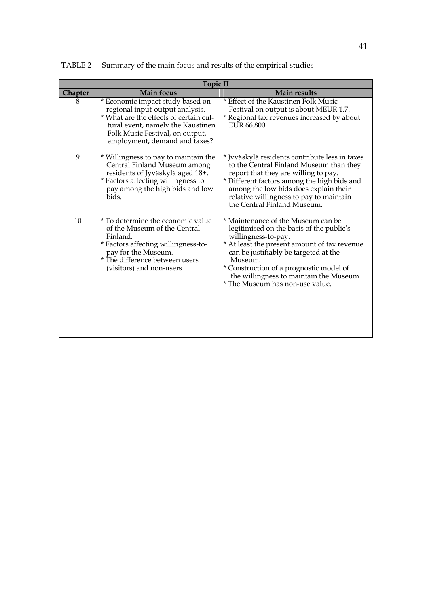| <b>Topic II</b> |                                                                                                                                                                                                                        |                                                                                                                                                                                                                                                                                                                                    |  |  |
|-----------------|------------------------------------------------------------------------------------------------------------------------------------------------------------------------------------------------------------------------|------------------------------------------------------------------------------------------------------------------------------------------------------------------------------------------------------------------------------------------------------------------------------------------------------------------------------------|--|--|
| <b>Chapter</b>  | <b>Main focus</b>                                                                                                                                                                                                      | <b>Main results</b>                                                                                                                                                                                                                                                                                                                |  |  |
| 8               | * Economic impact study based on<br>regional input-output analysis.<br>* What are the effects of certain cul-<br>tural event, namely the Kaustinen<br>Folk Music Festival, on output,<br>employment, demand and taxes? | * Effect of the Kaustinen Folk Music<br>Festival on output is about MEUR 1.7.<br>* Regional tax revenues increased by about<br>EUR 66,800.                                                                                                                                                                                         |  |  |
| 9               | * Willingness to pay to maintain the<br>Central Finland Museum among<br>residents of Jyväskylä aged 18+.<br>* Factors affecting willingness to<br>pay among the high bids and low<br>bids.                             | * Jyväskylä residents contribute less in taxes<br>to the Central Finland Museum than they<br>report that they are willing to pay.<br>* Different factors among the high bids and<br>among the low bids does explain their<br>relative willingness to pay to maintain<br>the Central Finland Museum.                                |  |  |
| 10              | * To determine the economic value<br>of the Museum of the Central<br>Finland.<br>* Factors affecting willingness-to-<br>pay for the Museum.<br>* The difference between users<br>(visitors) and non-users              | * Maintenance of the Museum can be<br>legitimised on the basis of the public's<br>willingness-to-pay.<br>* At least the present amount of tax revenue<br>can be justifiably be targeted at the<br>Museum.<br>* Construction of a prognostic model of<br>the willingness to maintain the Museum.<br>* The Museum has non-use value. |  |  |

TABLE 2 Summary of the main focus and results of the empirical studies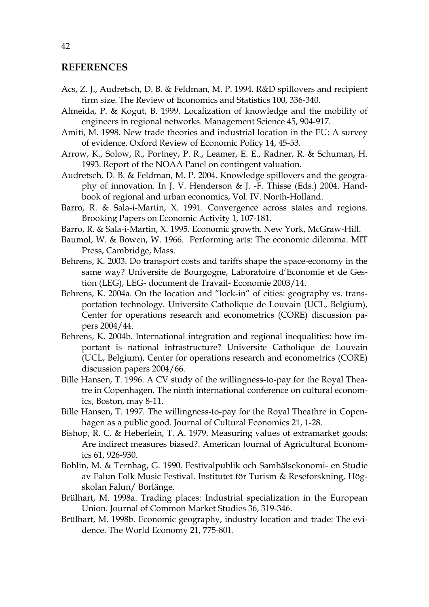#### **REFERENCES**

- Acs, Z. J., Audretsch, D. B. & Feldman, M. P. 1994. R&D spillovers and recipient firm size. The Review of Economics and Statistics 100, 336-340.
- Almeida, P. & Kogut, B. 1999. Localization of knowledge and the mobility of engineers in regional networks. Management Science 45, 904-917.
- Amiti, M. 1998. New trade theories and industrial location in the EU: A survey of evidence. Oxford Review of Economic Policy 14, 45-53.
- Arrow, K., Solow, R., Portney, P. R., Leamer, E. E., Radner, R. & Schuman, H. 1993. Report of the NOAA Panel on contingent valuation.
- Audretsch, D. B. & Feldman, M. P. 2004. Knowledge spillovers and the geography of innovation. In J. V. Henderson & J. -F. Thisse (Eds.) 2004. Handbook of regional and urban economics, Vol. IV. North-Holland.
- Barro, R. & Sala-i-Martin, X. 1991. Convergence across states and regions. Brooking Papers on Economic Activity 1, 107-181.
- Barro, R. & Sala-i-Martin, X. 1995. Economic growth. New York, McGraw-Hill.
- Baumol, W. & Bowen, W. 1966. Performing arts: The economic dilemma. MIT Press, Cambridge, Mass.
- Behrens, K. 2003. Do transport costs and tariffs shape the space-economy in the same way? Universite de Bourgogne, Laboratoire d'Economie et de Gestion (LEG), LEG- document de Travail- Economie 2003/14.
- Behrens, K. 2004a. On the location and "lock-in" of cities: geography vs. transportation technology. Universite Catholique de Louvain (UCL, Belgium), Center for operations research and econometrics (CORE) discussion papers 2004/44.
- Behrens, K. 2004b. International integration and regional inequalities: how important is national infrastructure? Universite Catholique de Louvain (UCL, Belgium), Center for operations research and econometrics (CORE) discussion papers 2004/66.
- Bille Hansen, T. 1996. A CV study of the willingness-to-pay for the Royal Theatre in Copenhagen. The ninth international conference on cultural economics, Boston, may 8-11.
- Bille Hansen, T. 1997. The willingness-to-pay for the Royal Theathre in Copenhagen as a public good. Journal of Cultural Economics 21, 1-28.
- Bishop, R. C. & Heberlein, T. A. 1979. Measuring values of extramarket goods: Are indirect measures biased?. American Journal of Agricultural Economics 61, 926-930.
- Bohlin, M. & Ternhag, G. 1990. Festivalpublik och Samhälsekonomi- en Studie av Falun Folk Music Festival. Institutet för Turism & Reseforskning, Högskolan Falun/ Borlänge.
- Brülhart, M. 1998a. Trading places: Industrial specialization in the European Union. Journal of Common Market Studies 36, 319-346.
- Brülhart, M. 1998b. Economic geography, industry location and trade: The evidence. The World Economy 21, 775-801.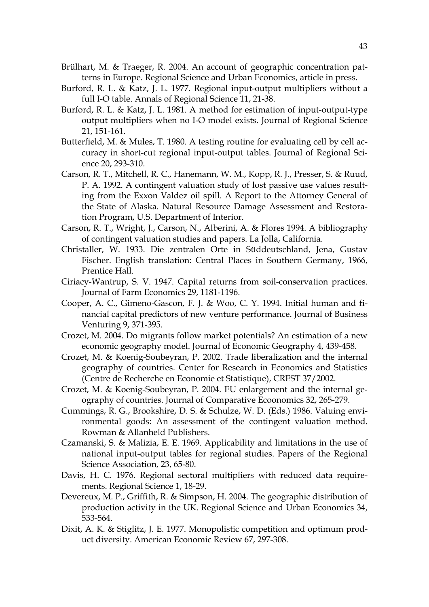- Brülhart, M. & Traeger, R. 2004. An account of geographic concentration patterns in Europe. Regional Science and Urban Economics, article in press.
- Burford, R. L. & Katz, J. L. 1977. Regional input-output multipliers without a full I-O table. Annals of Regional Science 11, 21-38.
- Burford, R. L. & Katz, J. L. 1981. A method for estimation of input-output-type output multipliers when no I-O model exists. Journal of Regional Science 21, 151-161.
- Butterfield, M. & Mules, T. 1980. A testing routine for evaluating cell by cell accuracy in short-cut regional input-output tables. Journal of Regional Science 20, 293-310.
- Carson, R. T., Mitchell, R. C., Hanemann, W. M., Kopp, R. J., Presser, S. & Ruud, P. A. 1992. A contingent valuation study of lost passive use values resulting from the Exxon Valdez oil spill. A Report to the Attorney General of the State of Alaska. Natural Resource Damage Assessment and Restoration Program, U.S. Department of Interior.
- Carson, R. T., Wright, J., Carson, N., Alberini, A. & Flores 1994. A bibliography of contingent valuation studies and papers. La Jolla, California.
- Christaller, W. 1933. Die zentralen Orte in Süddeutschland, Jena, Gustav Fischer. English translation: Central Places in Southern Germany, 1966, Prentice Hall.
- Ciriacy-Wantrup, S. V. 1947. Capital returns from soil-conservation practices. Journal of Farm Economics 29, 1181-1196.
- Cooper, A. C., Gimeno-Gascon, F. J. & Woo, C. Y. 1994. Initial human and financial capital predictors of new venture performance. Journal of Business Venturing 9, 371-395.
- Crozet, M. 2004. Do migrants follow market potentials? An estimation of a new economic geography model. Journal of Economic Geography 4, 439-458.
- Crozet, M. & Koenig-Soubeyran, P. 2002. Trade liberalization and the internal geography of countries. Center for Research in Economics and Statistics (Centre de Recherche en Economie et Statistique), CREST 37/2002.
- Crozet, M. & Koenig-Soubeyran, P. 2004. EU enlargement and the internal geography of countries. Journal of Comparative Ecoonomics 32, 265-279.
- Cummings, R. G., Brookshire, D. S. & Schulze, W. D. (Eds.) 1986. Valuing environmental goods: An assessment of the contingent valuation method. Rowman & Allanheld Publishers.
- Czamanski, S. & Malizia, E. E. 1969. Applicability and limitations in the use of national input-output tables for regional studies. Papers of the Regional Science Association, 23, 65-80.
- Davis, H. C. 1976. Regional sectoral multipliers with reduced data requirements. Regional Science 1, 18-29.
- Devereux, M. P., Griffith, R. & Simpson, H. 2004. The geographic distribution of production activity in the UK. Regional Science and Urban Economics 34, 533-564.
- Dixit, A. K. & Stiglitz, J. E. 1977. Monopolistic competition and optimum product diversity. American Economic Review 67, 297-308.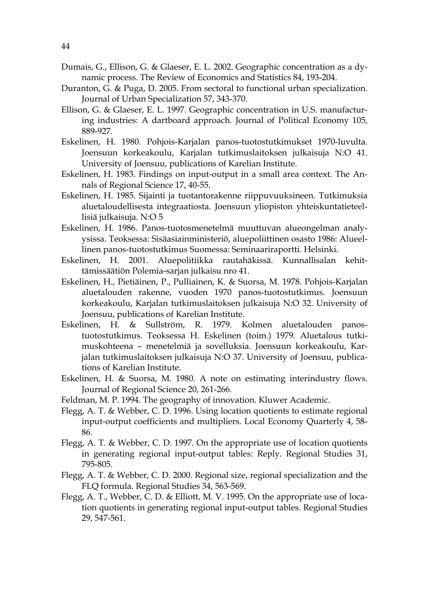- Dumais, G., Ellison, G. & Glaeser, E. L. 2002. Geographic concentration as a dynamic process. The Review of Economics and Statistics 84, 193-204.
- Duranton, G. & Puga, D. 2005. From sectoral to functional urban specialization. Journal of Urban Specialization 57, 343-370.
- Ellison, G. & Glaeser, E. L. 1997. Geographic concentration in U.S. manufacturing industries: A dartboard approach. Journal of Political Economy 105, 889-927.
- Eskelinen, H. 1980. Pohjois-Karjalan panos-tuotostutkimukset 1970-luvulta. Joensuun korkeakoulu, Karjalan tutkimuslaitoksen julkaisuja N:O 41. University of Joensuu, publications of Karelian Institute.
- Eskelinen, H. 1983. Findings on input-output in a small area context. The Annals of Regional Science 17, 40-55.
- Eskelinen, H. 1985. Sijainti ja tuotantorakenne riippuvuuksineen. Tutkimuksia aluetaloudellisesta integraatiosta. Joensuun yliopiston yhteiskuntatieteellisiä julkaisuja. N:O 5
- Eskelinen, H. 1986. Panos-tuotosmenetelmä muuttuvan alueongelman analyysissa. Teoksessa: Sisäasiainministeriö, aluepoliittinen osasto 1986: Alueellinen panos-tuotostutkimus Suomessa: Seminaariraportti. Helsinki.
- Eskelinen, H. 2001. Aluepolitiikka rautahäkissä. Kunnallisalan kehittämissäätiön Polemia-sarjan julkaisu nro 41.
- Eskelinen, H., Pietiäinen, P., Pulliainen, K. & Suorsa, M. 1978. Pohjois-Karjalan aluetalouden rakenne, vuoden 1970 panos-tuotostutkimus. Joensuun korkeakoulu, Karjalan tutkimuslaitoksen julkaisuja N:O 32. University of Joensuu, publications of Karelian Institute.
- Eskelinen, H. & Sullström, R. 1979. Kolmen aluetalouden panostuotostutkimus. Teoksessa H. Eskelinen (toim.) 1979. Aluetalous tutkimuskohteena – menetelmiä ja sovelluksia. Joensuun korkeakoulu, Karjalan tutkimuslaitoksen julkaisuja N:O 37. University of Joensuu, publications of Karelian Institute.
- Eskelinen, H. & Suorsa, M. 1980. A note on estimating interindustry flows. Journal of Regional Science 20, 261-266.
- Feldman, M. P. 1994. The geography of innovation. Kluwer Academic.
- Flegg, A. T. & Webber, C. D. 1996. Using location quotients to estimate regional input-output coefficients and multipliers. Local Economy Quarterly 4, 58- 86.
- Flegg, A. T. & Webber, C. D. 1997. On the appropriate use of location quotients in generating regional input-output tables: Reply. Regional Studies 31, 795-805.
- Flegg, A. T. & Webber, C. D. 2000. Regional size, regional specialization and the FLQ formula. Regional Studies 34, 563-569.
- Flegg, A. T., Webber, C. D. & Elliott, M. V. 1995. On the appropriate use of location quotients in generating regional input-output tables. Regional Studies 29, 547-561.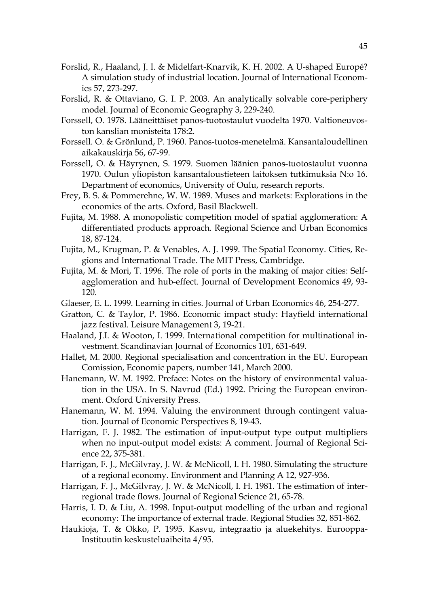- Forslid, R., Haaland, J. I. & Midelfart-Knarvik, K. H. 2002. A U-shaped Europé? A simulation study of industrial location. Journal of International Economics 57, 273-297.
- Forslid, R. & Ottaviano, G. I. P. 2003. An analytically solvable core-periphery model. Journal of Economic Geography 3, 229-240.
- Forssell, O. 1978. Lääneittäiset panos-tuotostaulut vuodelta 1970. Valtioneuvoston kanslian monisteita 178:2.
- Forssell. O. & Grönlund, P. 1960. Panos-tuotos-menetelmä. Kansantaloudellinen aikakauskirja 56, 67-99.
- Forssell, O. & Häyrynen, S. 1979. Suomen läänien panos-tuotostaulut vuonna 1970. Oulun yliopiston kansantaloustieteen laitoksen tutkimuksia N:o 16. Department of economics, University of Oulu, research reports.
- Frey, B. S. & Pommerehne, W. W. 1989. Muses and markets: Explorations in the economics of the arts. Oxford, Basil Blackwell.
- Fujita, M. 1988. A monopolistic competition model of spatial agglomeration: A differentiated products approach. Regional Science and Urban Economics 18, 87-124.
- Fujita, M., Krugman, P. & Venables, A. J. 1999. The Spatial Economy. Cities, Regions and International Trade. The MIT Press, Cambridge.
- Fujita, M. & Mori, T. 1996. The role of ports in the making of major cities: Selfagglomeration and hub-effect. Journal of Development Economics 49, 93- 120.
- Glaeser, E. L. 1999. Learning in cities. Journal of Urban Economics 46, 254-277.
- Gratton, C. & Taylor, P. 1986. Economic impact study: Hayfield international jazz festival. Leisure Management 3, 19-21.
- Haaland, J.I. & Wooton, I. 1999. International competition for multinational investment. Scandinavian Journal of Economics 101, 631-649.
- Hallet, M. 2000. Regional specialisation and concentration in the EU. European Comission, Economic papers, number 141, March 2000.
- Hanemann, W. M. 1992. Preface: Notes on the history of environmental valuation in the USA. In S. Navrud (Ed.) 1992. Pricing the European environment. Oxford University Press.
- Hanemann, W. M. 1994. Valuing the environment through contingent valuation. Journal of Economic Perspectives 8, 19-43.
- Harrigan, F. J. 1982. The estimation of input-output type output multipliers when no input-output model exists: A comment. Journal of Regional Science 22, 375-381.
- Harrigan, F. J., McGilvray, J. W. & McNicoll, I. H. 1980. Simulating the structure of a regional economy. Environment and Planning A 12, 927-936.
- Harrigan, F. J., McGilvray, J. W. & McNicoll, I. H. 1981. The estimation of interregional trade flows. Journal of Regional Science 21, 65-78.
- Harris, I. D. & Liu, A. 1998. Input-output modelling of the urban and regional economy: The importance of external trade. Regional Studies 32, 851-862.
- Haukioja, T. & Okko, P. 1995. Kasvu, integraatio ja aluekehitys. Eurooppa-Instituutin keskusteluaiheita 4/95.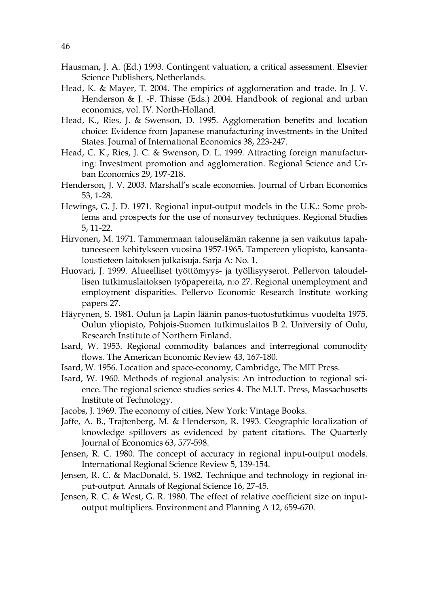- Hausman, J. A. (Ed.) 1993. Contingent valuation, a critical assessment. Elsevier Science Publishers, Netherlands.
- Head, K. & Mayer, T. 2004. The empirics of agglomeration and trade. In J. V. Henderson & J. -F. Thisse (Eds.) 2004. Handbook of regional and urban economics, vol. IV. North-Holland.
- Head, K., Ries, J. & Swenson, D. 1995. Agglomeration benefits and location choice: Evidence from Japanese manufacturing investments in the United States. Journal of International Economics 38, 223-247.
- Head, C. K., Ries, J. C. & Swenson, D. L. 1999. Attracting foreign manufacturing: Investment promotion and agglomeration. Regional Science and Urban Economics 29, 197-218.
- Henderson, J. V. 2003. Marshall's scale economies. Journal of Urban Economics 53, 1-28.
- Hewings, G. J. D. 1971. Regional input-output models in the U.K.: Some problems and prospects for the use of nonsurvey techniques. Regional Studies 5, 11-22.
- Hirvonen, M. 1971. Tammermaan talouselämän rakenne ja sen vaikutus tapahtuneeseen kehitykseen vuosina 1957-1965. Tampereen yliopisto, kansantaloustieteen laitoksen julkaisuja. Sarja A: No. 1.
- Huovari, J. 1999. Alueelliset työttömyys- ja työllisyyserot. Pellervon taloudellisen tutkimuslaitoksen työpapereita, n:o 27. Regional unemployment and employment disparities. Pellervo Economic Research Institute working papers 27.
- Häyrynen, S. 1981. Oulun ja Lapin läänin panos-tuotostutkimus vuodelta 1975. Oulun yliopisto, Pohjois-Suomen tutkimuslaitos B 2. University of Oulu, Research Institute of Northern Finland.
- Isard, W. 1953. Regional commodity balances and interregional commodity flows. The American Economic Review 43, 167-180.
- Isard, W. 1956. Location and space-economy, Cambridge, The MIT Press.
- Isard, W. 1960. Methods of regional analysis: An introduction to regional science. The regional science studies series 4. The M.I.T. Press, Massachusetts Institute of Technology.
- Jacobs, J. 1969. The economy of cities, New York: Vintage Books.
- Jaffe, A. B., Trajtenberg, M. & Henderson, R. 1993. Geographic localization of knowledge spillovers as evidenced by patent citations. The Quarterly Journal of Economics 63, 577-598.
- Jensen, R. C. 1980. The concept of accuracy in regional input-output models. International Regional Science Review 5, 139-154.
- Jensen, R. C. & MacDonald, S. 1982. Technique and technology in regional input-output. Annals of Regional Science 16, 27-45.
- Jensen, R. C. & West, G. R. 1980. The effect of relative coefficient size on inputoutput multipliers. Environment and Planning A 12, 659-670.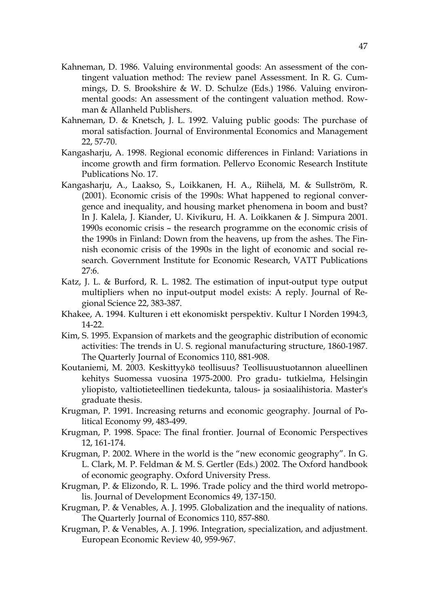- Kahneman, D. 1986. Valuing environmental goods: An assessment of the contingent valuation method: The review panel Assessment. In R. G. Cummings, D. S. Brookshire & W. D. Schulze (Eds.) 1986. Valuing environmental goods: An assessment of the contingent valuation method. Rowman & Allanheld Publishers.
- Kahneman, D. & Knetsch, J. L. 1992. Valuing public goods: The purchase of moral satisfaction. Journal of Environmental Economics and Management 22, 57-70.
- Kangasharju, A. 1998. Regional economic differences in Finland: Variations in income growth and firm formation. Pellervo Economic Research Institute Publications No. 17.
- Kangasharju, A., Laakso, S., Loikkanen, H. A., Riihelä, M. & Sullström, R. (2001). Economic crisis of the 1990s: What happened to regional convergence and inequality, and housing market phenomena in boom and bust? In J. Kalela, J. Kiander, U. Kivikuru, H. A. Loikkanen & J. Simpura 2001. 1990s economic crisis – the research programme on the economic crisis of the 1990s in Finland: Down from the heavens, up from the ashes. The Finnish economic crisis of the 1990s in the light of economic and social research. Government Institute for Economic Research, VATT Publications 27:6.
- Katz, J. L. & Burford, R. L. 1982. The estimation of input-output type output multipliers when no input-output model exists: A reply. Journal of Regional Science 22, 383-387.
- Khakee, A. 1994. Kulturen i ett ekonomiskt perspektiv. Kultur I Norden 1994:3, 14-22.
- Kim, S. 1995. Expansion of markets and the geographic distribution of economic activities: The trends in U. S. regional manufacturing structure, 1860-1987. The Quarterly Journal of Economics 110, 881-908.
- Koutaniemi, M. 2003. Keskittyykö teollisuus? Teollisuustuotannon alueellinen kehitys Suomessa vuosina 1975-2000. Pro gradu- tutkielma, Helsingin yliopisto, valtiotieteellinen tiedekunta, talous- ja sosiaalihistoria. Master's graduate thesis.
- Krugman, P. 1991. Increasing returns and economic geography. Journal of Political Economy 99, 483-499.
- Krugman, P. 1998. Space: The final frontier. Journal of Economic Perspectives 12, 161-174.
- Krugman, P. 2002. Where in the world is the "new economic geography". In G. L. Clark, M. P. Feldman & M. S. Gertler (Eds.) 2002. The Oxford handbook of economic geography. Oxford University Press.
- Krugman, P. & Elizondo, R. L. 1996. Trade policy and the third world metropolis. Journal of Development Economics 49, 137-150.
- Krugman, P. & Venables, A. J. 1995. Globalization and the inequality of nations. The Quarterly Journal of Economics 110, 857-880.
- Krugman, P. & Venables, A. J. 1996. Integration, specialization, and adjustment. European Economic Review 40, 959-967.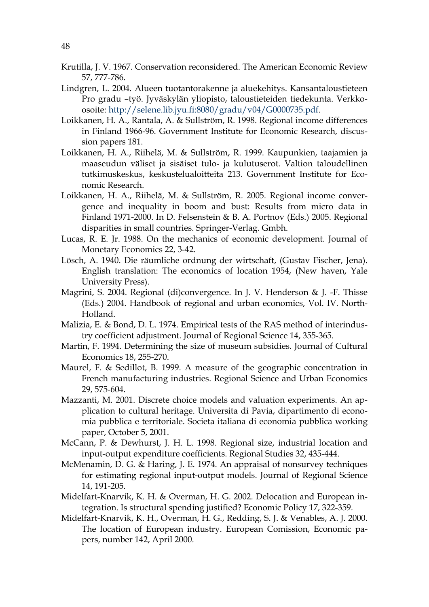- Krutilla, J. V. 1967. Conservation reconsidered. The American Economic Review 57, 777-786.
- Lindgren, L. 2004. Alueen tuotantorakenne ja aluekehitys. Kansantaloustieteen Pro gradu –työ. Jyväskylän yliopisto, taloustieteiden tiedekunta. Verkkoosoite: http://selene.lib.jyu.fi:8080/gradu/v04/G0000735.pdf.
- Loikkanen, H. A., Rantala, A. & Sullström, R. 1998. Regional income differences in Finland 1966-96. Government Institute for Economic Research, discussion papers 181.
- Loikkanen, H. A., Riihelä, M. & Sullström, R. 1999. Kaupunkien, taajamien ja maaseudun väliset ja sisäiset tulo- ja kulutuserot. Valtion taloudellinen tutkimuskeskus, keskustelualoitteita 213. Government Institute for Economic Research.
- Loikkanen, H. A., Riihelä, M. & Sullström, R. 2005. Regional income convergence and inequality in boom and bust: Results from micro data in Finland 1971-2000. In D. Felsenstein & B. A. Portnov (Eds.) 2005. Regional disparities in small countries. Springer-Verlag. Gmbh.
- Lucas, R. E. Jr. 1988. On the mechanics of economic development. Journal of Monetary Economics 22, 3-42.
- Lösch, A. 1940. Die räumliche ordnung der wirtschaft, (Gustav Fischer, Jena). English translation: The economics of location 1954, (New haven, Yale University Press).
- Magrini, S. 2004. Regional (di)convergence. In J. V. Henderson & J. -F. Thisse (Eds.) 2004. Handbook of regional and urban economics, Vol. IV. North-Holland.
- Malizia, E. & Bond, D. L. 1974. Empirical tests of the RAS method of interindustry coefficient adjustment. Journal of Regional Science 14, 355-365.
- Martin, F. 1994. Determining the size of museum subsidies. Journal of Cultural Economics 18, 255-270.
- Maurel, F. & Sedillot, B. 1999. A measure of the geographic concentration in French manufacturing industries. Regional Science and Urban Economics 29, 575-604.
- Mazzanti, M. 2001. Discrete choice models and valuation experiments. An application to cultural heritage. Universita di Pavia, dipartimento di economia pubblica e territoriale. Societa italiana di economia pubblica working paper, October 5, 2001.
- McCann, P. & Dewhurst, J. H. L. 1998. Regional size, industrial location and input-output expenditure coefficients. Regional Studies 32, 435-444.
- McMenamin, D. G. & Haring, J. E. 1974. An appraisal of nonsurvey techniques for estimating regional input-output models. Journal of Regional Science 14, 191-205.
- Midelfart-Knarvik, K. H. & Overman, H. G. 2002. Delocation and European integration. Is structural spending justified? Economic Policy 17, 322-359.
- Midelfart-Knarvik, K. H., Overman, H. G., Redding, S. J. & Venables, A. J. 2000. The location of European industry. European Comission, Economic papers, number 142, April 2000.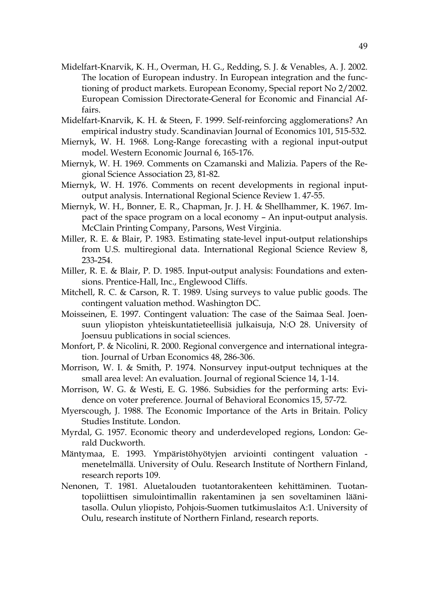- Midelfart-Knarvik, K. H., Overman, H. G., Redding, S. J. & Venables, A. J. 2002. The location of European industry. In European integration and the functioning of product markets. European Economy, Special report No 2/2002. European Comission Directorate-General for Economic and Financial Affairs.
- Midelfart-Knarvik, K. H. & Steen, F. 1999. Self-reinforcing agglomerations? An empirical industry study. Scandinavian Journal of Economics 101, 515-532.
- Miernyk, W. H. 1968. Long-Range forecasting with a regional input-output model. Western Economic Journal 6, 165-176.
- Miernyk, W. H. 1969. Comments on Czamanski and Malizia. Papers of the Regional Science Association 23, 81-82.
- Miernyk, W. H. 1976. Comments on recent developments in regional inputoutput analysis. International Regional Science Review 1. 47-55.
- Miernyk, W. H., Bonner, E. R., Chapman, Jr. J. H. & Shellhammer, K. 1967. Impact of the space program on a local economy – An input-output analysis. McClain Printing Company, Parsons, West Virginia.
- Miller, R. E. & Blair, P. 1983. Estimating state-level input-output relationships from U.S. multiregional data. International Regional Science Review 8, 233-254.
- Miller, R. E. & Blair, P. D. 1985. Input-output analysis: Foundations and extensions. Prentice-Hall, Inc., Englewood Cliffs.
- Mitchell, R. C. & Carson, R. T. 1989. Using surveys to value public goods. The contingent valuation method. Washington DC.
- Moisseinen, E. 1997. Contingent valuation: The case of the Saimaa Seal. Joensuun yliopiston yhteiskuntatieteellisiä julkaisuja, N:O 28. University of Joensuu publications in social sciences.
- Monfort, P. & Nicolini, R. 2000. Regional convergence and international integration. Journal of Urban Economics 48, 286-306.
- Morrison, W. I. & Smith, P. 1974. Nonsurvey input-output techniques at the small area level: An evaluation. Journal of regional Science 14, 1-14.
- Morrison, W. G. & Westi, E. G. 1986. Subsidies for the performing arts: Evidence on voter preference. Journal of Behavioral Economics 15, 57-72.
- Myerscough, J. 1988. The Economic Importance of the Arts in Britain. Policy Studies Institute. London.
- Myrdal, G. 1957. Economic theory and underdeveloped regions, London: Gerald Duckworth.
- Mäntymaa, E. 1993. Ympäristöhyötyjen arviointi contingent valuation menetelmällä. University of Oulu. Research Institute of Northern Finland, research reports 109.
- Nenonen, T. 1981. Aluetalouden tuotantorakenteen kehittäminen. Tuotantopoliittisen simulointimallin rakentaminen ja sen soveltaminen läänitasolla. Oulun yliopisto, Pohjois-Suomen tutkimuslaitos A:1. University of Oulu, research institute of Northern Finland, research reports.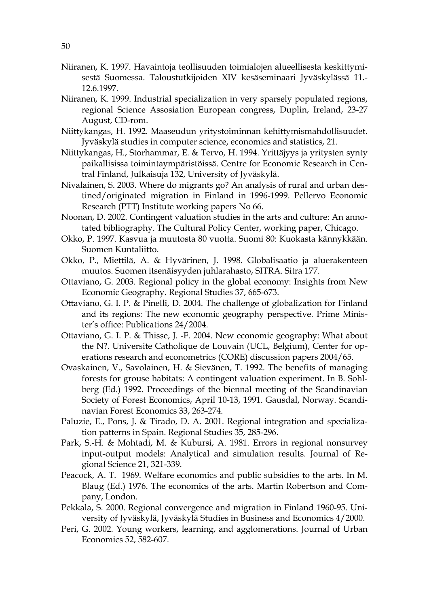- Niiranen, K. 1997. Havaintoja teollisuuden toimialojen alueellisesta keskittymisestä Suomessa. Taloustutkijoiden XIV kesäseminaari Jyväskylässä 11.- 12.6.1997.
- Niiranen, K. 1999. Industrial specialization in very sparsely populated regions, regional Science Assosiation European congress, Duplin, Ireland, 23-27 August, CD-rom.
- Niittykangas, H. 1992. Maaseudun yritystoiminnan kehittymismahdollisuudet. Jyväskylä studies in computer science, economics and statistics, 21.
- Niittykangas, H., Storhammar, E. & Tervo, H. 1994. Yrittäjyys ja yritysten synty paikallisissa toimintaympäristöissä. Centre for Economic Research in Central Finland, Julkaisuja 132, University of Jyväskylä.
- Nivalainen, S. 2003. Where do migrants go? An analysis of rural and urban destined/originated migration in Finland in 1996-1999. Pellervo Economic Research (PTT) Institute working papers No 66.
- Noonan, D. 2002. Contingent valuation studies in the arts and culture: An annotated bibliography. The Cultural Policy Center, working paper, Chicago.
- Okko, P. 1997. Kasvua ja muutosta 80 vuotta. Suomi 80: Kuokasta kännykkään. Suomen Kuntaliitto.
- Okko, P., Miettilä, A. & Hyvärinen, J. 1998. Globalisaatio ja aluerakenteen muutos. Suomen itsenäisyyden juhlarahasto, SITRA. Sitra 177.
- Ottaviano, G. 2003. Regional policy in the global economy: Insights from New Economic Geography. Regional Studies 37, 665-673.
- Ottaviano, G. I. P. & Pinelli, D. 2004. The challenge of globalization for Finland and its regions: The new economic geography perspective. Prime Minister's office: Publications 24/2004.
- Ottaviano, G. I. P. & Thisse, J. -F. 2004. New economic geography: What about the N?. Universite Catholique de Louvain (UCL, Belgium), Center for operations research and econometrics (CORE) discussion papers 2004/65.
- Ovaskainen, V., Savolainen, H. & Sievänen, T. 1992. The benefits of managing forests for grouse habitats: A contingent valuation experiment. In B. Sohlberg (Ed.) 1992. Proceedings of the biennal meeting of the Scandinavian Society of Forest Economics, April 10-13, 1991. Gausdal, Norway. Scandinavian Forest Economics 33, 263-274.
- Paluzie, E., Pons, J. & Tirado, D. A. 2001. Regional integration and specialization patterns in Spain. Regional Studies 35, 285-296.
- Park, S.-H. & Mohtadi, M. & Kubursi, A. 1981. Errors in regional nonsurvey input-output models: Analytical and simulation results. Journal of Regional Science 21, 321-339.
- Peacock, A. T. 1969. Welfare economics and public subsidies to the arts. In M. Blaug (Ed.) 1976. The economics of the arts. Martin Robertson and Company, London.
- Pekkala, S. 2000. Regional convergence and migration in Finland 1960-95. University of Jyväskylä, Jyväskylä Studies in Business and Economics 4/2000.
- Peri, G. 2002. Young workers, learning, and agglomerations. Journal of Urban Economics 52, 582-607.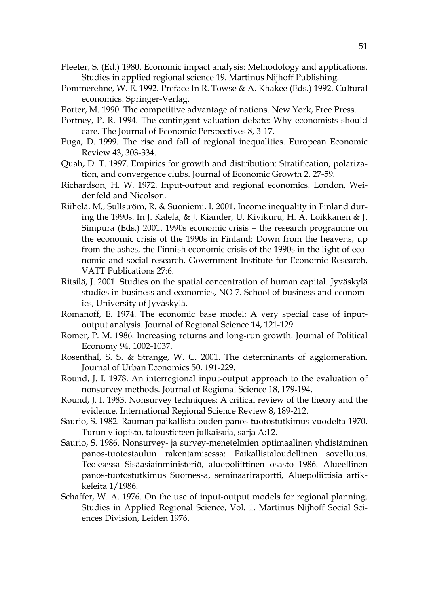- Pleeter, S. (Ed.) 1980. Economic impact analysis: Methodology and applications. Studies in applied regional science 19. Martinus Nijhoff Publishing.
- Pommerehne, W. E. 1992. Preface In R. Towse & A. Khakee (Eds.) 1992. Cultural economics. Springer-Verlag.
- Porter, M. 1990. The competitive advantage of nations. New York, Free Press.
- Portney, P. R. 1994. The contingent valuation debate: Why economists should care. The Journal of Economic Perspectives 8, 3-17.
- Puga, D. 1999. The rise and fall of regional inequalities. European Economic Review 43, 303-334.
- Quah, D. T. 1997. Empirics for growth and distribution: Stratification, polarization, and convergence clubs. Journal of Economic Growth 2, 27-59.
- Richardson, H. W. 1972. Input-output and regional economics. London, Weidenfeld and Nicolson.
- Riihelä, M., Sullström, R. & Suoniemi, I. 2001. Income inequality in Finland during the 1990s. In J. Kalela, & J. Kiander, U. Kivikuru, H. A. Loikkanen & J. Simpura (Eds.) 2001. 1990s economic crisis – the research programme on the economic crisis of the 1990s in Finland: Down from the heavens, up from the ashes, the Finnish economic crisis of the 1990s in the light of economic and social research. Government Institute for Economic Research, VATT Publications 27:6.
- Ritsilä, J. 2001. Studies on the spatial concentration of human capital. Jyväskylä studies in business and economics, NO 7. School of business and economics, University of Jyväskylä.
- Romanoff, E. 1974. The economic base model: A very special case of inputoutput analysis. Journal of Regional Science 14, 121-129.
- Romer, P. M. 1986. Increasing returns and long-run growth. Journal of Political Economy 94, 1002-1037.
- Rosenthal, S. S. & Strange, W. C. 2001. The determinants of agglomeration. Journal of Urban Economics 50, 191-229.
- Round, J. I. 1978. An interregional input-output approach to the evaluation of nonsurvey methods. Journal of Regional Science 18, 179-194.
- Round, J. I. 1983. Nonsurvey techniques: A critical review of the theory and the evidence. International Regional Science Review 8, 189-212.
- Saurio, S. 1982. Rauman paikallistalouden panos-tuotostutkimus vuodelta 1970. Turun yliopisto, taloustieteen julkaisuja, sarja A:12.
- Saurio, S. 1986. Nonsurvey- ja survey-menetelmien optimaalinen yhdistäminen panos-tuotostaulun rakentamisessa: Paikallistaloudellinen sovellutus. Teoksessa Sisäasiainministeriö, aluepoliittinen osasto 1986. Alueellinen panos-tuotostutkimus Suomessa, seminaariraportti, Aluepoliittisia artikkeleita 1/1986.
- Schaffer, W. A. 1976. On the use of input-output models for regional planning. Studies in Applied Regional Science, Vol. 1. Martinus Nijhoff Social Sciences Division, Leiden 1976.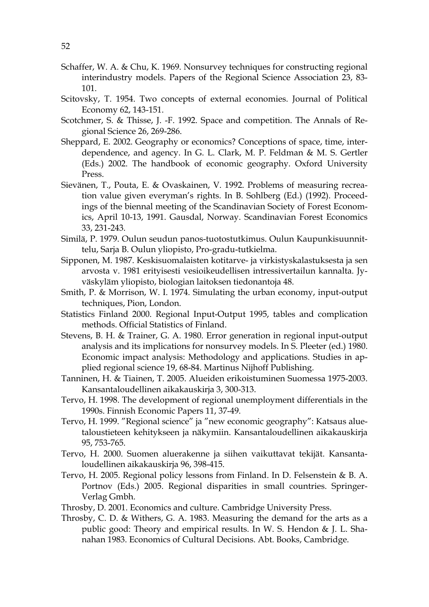- Schaffer, W. A. & Chu, K. 1969. Nonsurvey techniques for constructing regional interindustry models. Papers of the Regional Science Association 23, 83- 101.
- Scitovsky, T. 1954. Two concepts of external economies. Journal of Political Economy 62, 143-151.
- Scotchmer, S. & Thisse, J. -F. 1992. Space and competition. The Annals of Regional Science 26, 269-286.
- Sheppard, E. 2002. Geography or economics? Conceptions of space, time, interdependence, and agency. In G. L. Clark, M. P. Feldman & M. S. Gertler (Eds.) 2002. The handbook of economic geography. Oxford University Press.
- Sievänen, T., Pouta, E. & Ovaskainen, V. 1992. Problems of measuring recreation value given everyman's rights. In B. Sohlberg (Ed.) (1992). Proceedings of the biennal meeting of the Scandinavian Society of Forest Economics, April 10-13, 1991. Gausdal, Norway. Scandinavian Forest Economics 33, 231-243.
- Similä, P. 1979. Oulun seudun panos-tuotostutkimus. Oulun Kaupunkisuunnittelu, Sarja B. Oulun yliopisto, Pro-gradu-tutkielma.
- Sipponen, M. 1987. Keskisuomalaisten kotitarve- ja virkistyskalastuksesta ja sen arvosta v. 1981 erityisesti vesioikeudellisen intressivertailun kannalta. Jyväskyläm yliopisto, biologian laitoksen tiedonantoja 48.
- Smith, P. & Morrison, W. I. 1974. Simulating the urban economy, input-output techniques, Pion, London.
- Statistics Finland 2000. Regional Input-Output 1995, tables and complication methods. Official Statistics of Finland.
- Stevens, B. H. & Trainer, G. A. 1980. Error generation in regional input-output analysis and its implications for nonsurvey models. In S. Pleeter (ed.) 1980. Economic impact analysis: Methodology and applications. Studies in applied regional science 19, 68-84. Martinus Nijhoff Publishing.
- Tanninen, H. & Tiainen, T. 2005. Alueiden erikoistuminen Suomessa 1975-2003. Kansantaloudellinen aikakauskirja 3, 300-313.
- Tervo, H. 1998. The development of regional unemployment differentials in the 1990s. Finnish Economic Papers 11, 37-49.
- Tervo, H. 1999. "Regional science" ja "new economic geography": Katsaus aluetaloustieteen kehitykseen ja näkymiin. Kansantaloudellinen aikakauskirja 95, 753-765.
- Tervo, H. 2000. Suomen aluerakenne ja siihen vaikuttavat tekijät. Kansantaloudellinen aikakauskirja 96, 398-415.
- Tervo, H. 2005. Regional policy lessons from Finland. In D. Felsenstein & B. A. Portnov (Eds.) 2005. Regional disparities in small countries. Springer-Verlag Gmbh.
- Throsby, D. 2001. Economics and culture. Cambridge University Press.
- Throsby, C. D. & Withers, G. A. 1983. Measuring the demand for the arts as a public good: Theory and empirical results. In W. S. Hendon & J. L. Shanahan 1983. Economics of Cultural Decisions. Abt. Books, Cambridge.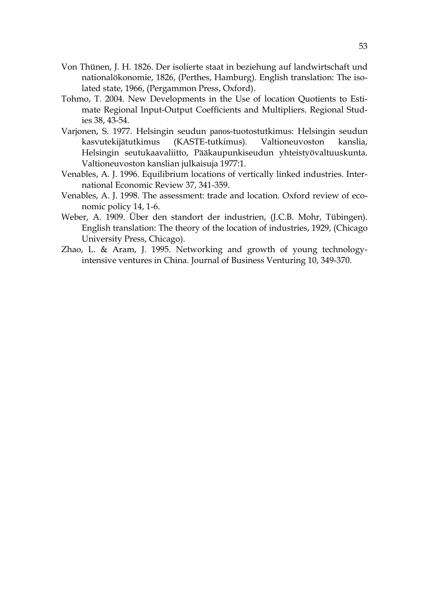- Von Thünen, J. H. 1826. Der isolierte staat in beziehung auf landwirtschaft und nationalökonomie, 1826, (Perthes, Hamburg). English translation: The isolated state, 1966, (Pergammon Press, Oxford).
- Tohmo, T. 2004. New Developments in the Use of location Quotients to Estimate Regional Input-Output Coefficients and Multipliers. Regional Studies 38, 43-54.
- Varjonen, S. 1977. Helsingin seudun panos-tuotostutkimus: Helsingin seudun kasvutekijätutkimus (KASTE-tutkimus). Valtioneuvoston kanslia, Helsingin seutukaavaliitto, Pääkaupunkiseudun yhteistyövaltuuskunta. Valtioneuvoston kanslian julkaisuja 1977:1.
- Venables, A. J. 1996. Equilibrium locations of vertically linked industries. International Economic Review 37, 341-359.
- Venables, A. J. 1998. The assessment: trade and location. Oxford review of economic policy 14, 1-6.
- Weber, A. 1909. Über den standort der industrien, (J.C.B. Mohr, Tübingen). English translation: The theory of the location of industries, 1929, (Chicago University Press, Chicago).
- Zhao, L. & Aram, J. 1995. Networking and growth of young technologyintensive ventures in China. Journal of Business Venturing 10, 349-370.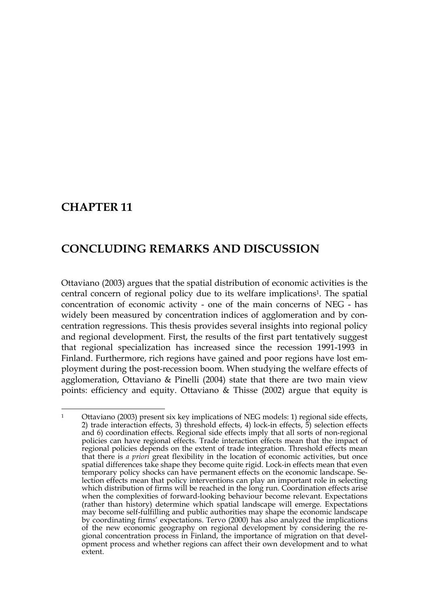## **CHAPTER 11**

1

## **CONCLUDING REMARKS AND DISCUSSION**

Ottaviano (2003) argues that the spatial distribution of economic activities is the central concern of regional policy due to its welfare implications1. The spatial concentration of economic activity - one of the main concerns of NEG - has widely been measured by concentration indices of agglomeration and by concentration regressions. This thesis provides several insights into regional policy and regional development. First, the results of the first part tentatively suggest that regional specialization has increased since the recession 1991-1993 in Finland. Furthermore, rich regions have gained and poor regions have lost employment during the post-recession boom. When studying the welfare effects of agglomeration, Ottaviano & Pinelli (2004) state that there are two main view points: efficiency and equity. Ottaviano & Thisse (2002) argue that equity is

<sup>&</sup>lt;sup>1</sup> Ottaviano (2003) present six key implications of NEG models: 1) regional side effects, 2) trade interaction effects, 3) threshold effects, 4) lock-in effects, 5) selection effects and 6) coordination effects. Regional side effects imply that all sorts of non-regional policies can have regional effects. Trade interaction effects mean that the impact of regional policies depends on the extent of trade integration. Threshold effects mean that there is *a priori* great flexibility in the location of economic activities, but once spatial differences take shape they become quite rigid. Lock-in effects mean that even temporary policy shocks can have permanent effects on the economic landscape. Selection effects mean that policy interventions can play an important role in selecting which distribution of firms will be reached in the long run. Coordination effects arise when the complexities of forward-looking behaviour become relevant. Expectations (rather than history) determine which spatial landscape will emerge. Expectations may become self-fulfilling and public authorities may shape the economic landscape by coordinating firms' expectations. Tervo (2000) has also analyzed the implications of the new economic geography on regional development by considering the regional concentration process in Finland, the importance of migration on that development process and whether regions can affect their own development and to what extent.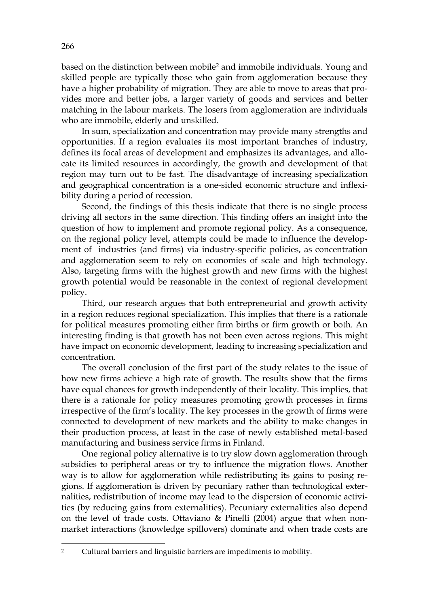based on the distinction between mobile2 and immobile individuals. Young and skilled people are typically those who gain from agglomeration because they have a higher probability of migration. They are able to move to areas that provides more and better jobs, a larger variety of goods and services and better matching in the labour markets. The losers from agglomeration are individuals who are immobile, elderly and unskilled.

In sum, specialization and concentration may provide many strengths and opportunities. If a region evaluates its most important branches of industry, defines its focal areas of development and emphasizes its advantages, and allocate its limited resources in accordingly, the growth and development of that region may turn out to be fast. The disadvantage of increasing specialization and geographical concentration is a one-sided economic structure and inflexibility during a period of recession.

Second, the findings of this thesis indicate that there is no single process driving all sectors in the same direction. This finding offers an insight into the question of how to implement and promote regional policy. As a consequence, on the regional policy level, attempts could be made to influence the development of industries (and firms) via industry-specific policies, as concentration and agglomeration seem to rely on economies of scale and high technology. Also, targeting firms with the highest growth and new firms with the highest growth potential would be reasonable in the context of regional development policy.

Third, our research argues that both entrepreneurial and growth activity in a region reduces regional specialization. This implies that there is a rationale for political measures promoting either firm births or firm growth or both. An interesting finding is that growth has not been even across regions. This might have impact on economic development, leading to increasing specialization and concentration.

The overall conclusion of the first part of the study relates to the issue of how new firms achieve a high rate of growth. The results show that the firms have equal chances for growth independently of their locality. This implies, that there is a rationale for policy measures promoting growth processes in firms irrespective of the firm's locality. The key processes in the growth of firms were connected to development of new markets and the ability to make changes in their production process, at least in the case of newly established metal-based manufacturing and business service firms in Finland.

One regional policy alternative is to try slow down agglomeration through subsidies to peripheral areas or try to influence the migration flows. Another way is to allow for agglomeration while redistributing its gains to posing regions. If agglomeration is driven by pecuniary rather than technological externalities, redistribution of income may lead to the dispersion of economic activities (by reducing gains from externalities). Pecuniary externalities also depend on the level of trade costs. Ottaviano & Pinelli (2004) argue that when nonmarket interactions (knowledge spillovers) dominate and when trade costs are

<u>.</u>

<sup>2</sup> Cultural barriers and linguistic barriers are impediments to mobility.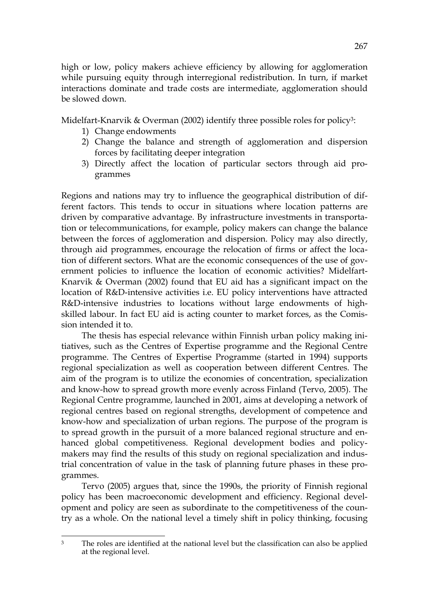high or low, policy makers achieve efficiency by allowing for agglomeration while pursuing equity through interregional redistribution. In turn, if market interactions dominate and trade costs are intermediate, agglomeration should be slowed down.

Midelfart-Knarvik & Overman (2002) identify three possible roles for policy<sup>3</sup>:

- 1) Change endowments
- 2) Change the balance and strength of agglomeration and dispersion forces by facilitating deeper integration
- 3) Directly affect the location of particular sectors through aid programmes

Regions and nations may try to influence the geographical distribution of different factors. This tends to occur in situations where location patterns are driven by comparative advantage. By infrastructure investments in transportation or telecommunications, for example, policy makers can change the balance between the forces of agglomeration and dispersion. Policy may also directly, through aid programmes, encourage the relocation of firms or affect the location of different sectors. What are the economic consequences of the use of government policies to influence the location of economic activities? Midelfart-Knarvik & Overman (2002) found that EU aid has a significant impact on the location of R&D-intensive activities i.e. EU policy interventions have attracted R&D-intensive industries to locations without large endowments of highskilled labour. In fact EU aid is acting counter to market forces, as the Comission intended it to.

The thesis has especial relevance within Finnish urban policy making initiatives, such as the Centres of Expertise programme and the Regional Centre programme. The Centres of Expertise Programme (started in 1994) supports regional specialization as well as cooperation between different Centres. The aim of the program is to utilize the economies of concentration, specialization and know-how to spread growth more evenly across Finland (Tervo, 2005). The Regional Centre programme, launched in 2001, aims at developing a network of regional centres based on regional strengths, development of competence and know-how and specialization of urban regions. The purpose of the program is to spread growth in the pursuit of a more balanced regional structure and enhanced global competitiveness. Regional development bodies and policymakers may find the results of this study on regional specialization and industrial concentration of value in the task of planning future phases in these programmes.

Tervo (2005) argues that, since the 1990s, the priority of Finnish regional policy has been macroeconomic development and efficiency. Regional development and policy are seen as subordinate to the competitiveness of the country as a whole. On the national level a timely shift in policy thinking, focusing

<sup>1</sup> <sup>3</sup> The roles are identified at the national level but the classification can also be applied at the regional level.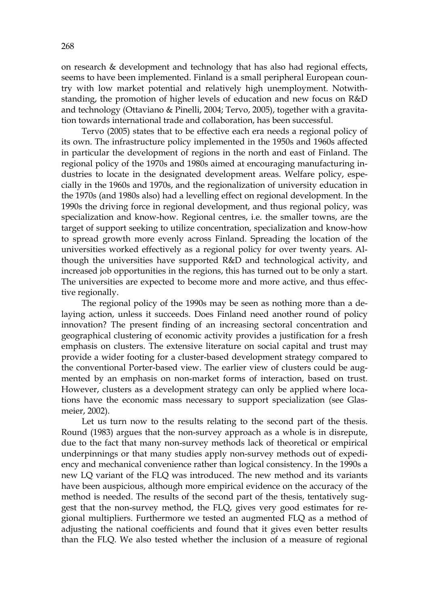on research & development and technology that has also had regional effects, seems to have been implemented. Finland is a small peripheral European country with low market potential and relatively high unemployment. Notwithstanding, the promotion of higher levels of education and new focus on R&D and technology (Ottaviano & Pinelli, 2004; Tervo, 2005), together with a gravitation towards international trade and collaboration, has been successful.

Tervo (2005) states that to be effective each era needs a regional policy of its own. The infrastructure policy implemented in the 1950s and 1960s affected in particular the development of regions in the north and east of Finland. The regional policy of the 1970s and 1980s aimed at encouraging manufacturing industries to locate in the designated development areas. Welfare policy, especially in the 1960s and 1970s, and the regionalization of university education in the 1970s (and 1980s also) had a levelling effect on regional development. In the 1990s the driving force in regional development, and thus regional policy, was specialization and know-how. Regional centres, i.e. the smaller towns, are the target of support seeking to utilize concentration, specialization and know-how to spread growth more evenly across Finland. Spreading the location of the universities worked effectively as a regional policy for over twenty years. Although the universities have supported R&D and technological activity, and increased job opportunities in the regions, this has turned out to be only a start. The universities are expected to become more and more active, and thus effective regionally.

The regional policy of the 1990s may be seen as nothing more than a delaying action, unless it succeeds. Does Finland need another round of policy innovation? The present finding of an increasing sectoral concentration and geographical clustering of economic activity provides a justification for a fresh emphasis on clusters. The extensive literature on social capital and trust may provide a wider footing for a cluster-based development strategy compared to the conventional Porter-based view. The earlier view of clusters could be augmented by an emphasis on non-market forms of interaction, based on trust. However, clusters as a development strategy can only be applied where locations have the economic mass necessary to support specialization (see Glasmeier, 2002).

Let us turn now to the results relating to the second part of the thesis. Round (1983) argues that the non-survey approach as a whole is in disrepute, due to the fact that many non-survey methods lack of theoretical or empirical underpinnings or that many studies apply non-survey methods out of expediency and mechanical convenience rather than logical consistency. In the 1990s a new LQ variant of the FLQ was introduced. The new method and its variants have been auspicious, although more empirical evidence on the accuracy of the method is needed. The results of the second part of the thesis, tentatively suggest that the non-survey method, the FLQ, gives very good estimates for regional multipliers. Furthermore we tested an augmented FLQ as a method of adjusting the national coefficients and found that it gives even better results than the FLQ. We also tested whether the inclusion of a measure of regional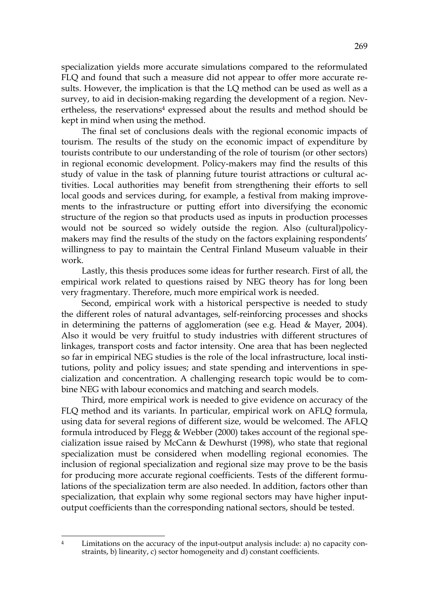specialization yields more accurate simulations compared to the reformulated FLQ and found that such a measure did not appear to offer more accurate results. However, the implication is that the LQ method can be used as well as a survey, to aid in decision-making regarding the development of a region. Nevertheless, the reservations<sup>4</sup> expressed about the results and method should be kept in mind when using the method.

The final set of conclusions deals with the regional economic impacts of tourism. The results of the study on the economic impact of expenditure by tourists contribute to our understanding of the role of tourism (or other sectors) in regional economic development. Policy-makers may find the results of this study of value in the task of planning future tourist attractions or cultural activities. Local authorities may benefit from strengthening their efforts to sell local goods and services during, for example, a festival from making improvements to the infrastructure or putting effort into diversifying the economic structure of the region so that products used as inputs in production processes would not be sourced so widely outside the region. Also (cultural)policymakers may find the results of the study on the factors explaining respondents' willingness to pay to maintain the Central Finland Museum valuable in their work.

Lastly, this thesis produces some ideas for further research. First of all, the empirical work related to questions raised by NEG theory has for long been very fragmentary. Therefore, much more empirical work is needed.

Second, empirical work with a historical perspective is needed to study the different roles of natural advantages, self-reinforcing processes and shocks in determining the patterns of agglomeration (see e.g. Head & Mayer, 2004). Also it would be very fruitful to study industries with different structures of linkages, transport costs and factor intensity. One area that has been neglected so far in empirical NEG studies is the role of the local infrastructure, local institutions, polity and policy issues; and state spending and interventions in specialization and concentration. A challenging research topic would be to combine NEG with labour economics and matching and search models.

Third, more empirical work is needed to give evidence on accuracy of the FLQ method and its variants. In particular, empirical work on AFLQ formula, using data for several regions of different size, would be welcomed. The AFLQ formula introduced by Flegg & Webber (2000) takes account of the regional specialization issue raised by McCann & Dewhurst (1998), who state that regional specialization must be considered when modelling regional economies. The inclusion of regional specialization and regional size may prove to be the basis for producing more accurate regional coefficients. Tests of the different formulations of the specialization term are also needed. In addition, factors other than specialization, that explain why some regional sectors may have higher inputoutput coefficients than the corresponding national sectors, should be tested.

Limitations on the accuracy of the input-output analysis include: a) no capacity constraints, b) linearity, c) sector homogeneity and d) constant coefficients.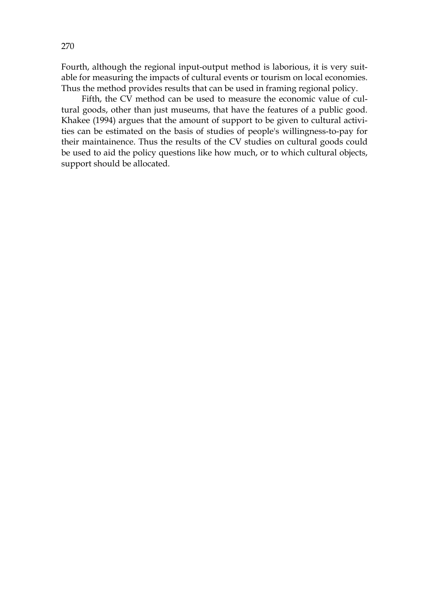Fourth, although the regional input-output method is laborious, it is very suitable for measuring the impacts of cultural events or tourism on local economies. Thus the method provides results that can be used in framing regional policy.

Fifth, the CV method can be used to measure the economic value of cultural goods, other than just museums, that have the features of a public good. Khakee (1994) argues that the amount of support to be given to cultural activities can be estimated on the basis of studies of people's willingness-to-pay for their maintainence. Thus the results of the CV studies on cultural goods could be used to aid the policy questions like how much, or to which cultural objects, support should be allocated.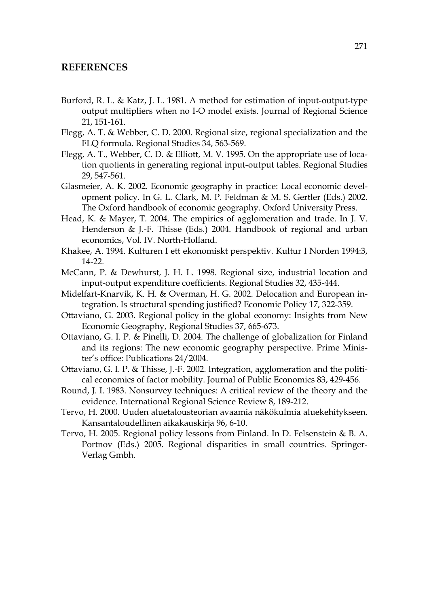#### **REFERENCES**

- Burford, R. L. & Katz, J. L. 1981. A method for estimation of input-output-type output multipliers when no I-O model exists. Journal of Regional Science 21, 151-161.
- Flegg, A. T. & Webber, C. D. 2000. Regional size, regional specialization and the FLQ formula. Regional Studies 34, 563-569.
- Flegg, A. T., Webber, C. D. & Elliott, M. V. 1995. On the appropriate use of location quotients in generating regional input-output tables. Regional Studies 29, 547-561.
- Glasmeier, A. K. 2002. Economic geography in practice: Local economic development policy. In G. L. Clark, M. P. Feldman & M. S. Gertler (Eds.) 2002. The Oxford handbook of economic geography. Oxford University Press.
- Head, K. & Mayer, T. 2004. The empirics of agglomeration and trade. In J. V. Henderson & J.-F. Thisse (Eds.) 2004. Handbook of regional and urban economics, Vol. IV. North-Holland.
- Khakee, A. 1994. Kulturen I ett ekonomiskt perspektiv. Kultur I Norden 1994:3, 14-22.
- McCann, P. & Dewhurst, J. H. L. 1998. Regional size, industrial location and input-output expenditure coefficients. Regional Studies 32, 435-444.
- Midelfart-Knarvik, K. H. & Overman, H. G. 2002. Delocation and European integration. Is structural spending justified? Economic Policy 17, 322-359.
- Ottaviano, G. 2003. Regional policy in the global economy: Insights from New Economic Geography, Regional Studies 37, 665-673.
- Ottaviano, G. I. P. & Pinelli, D. 2004. The challenge of globalization for Finland and its regions: The new economic geography perspective. Prime Minister's office: Publications 24/2004.
- Ottaviano, G. I. P. & Thisse, J.-F. 2002. Integration, agglomeration and the political economics of factor mobility. Journal of Public Economics 83, 429-456.
- Round, J. I. 1983. Nonsurvey techniques: A critical review of the theory and the evidence. International Regional Science Review 8, 189-212.
- Tervo, H. 2000. Uuden aluetalousteorian avaamia näkökulmia aluekehitykseen. Kansantaloudellinen aikakauskirja 96, 6-10.
- Tervo, H. 2005. Regional policy lessons from Finland. In D. Felsenstein & B. A. Portnov (Eds.) 2005. Regional disparities in small countries. Springer-Verlag Gmbh.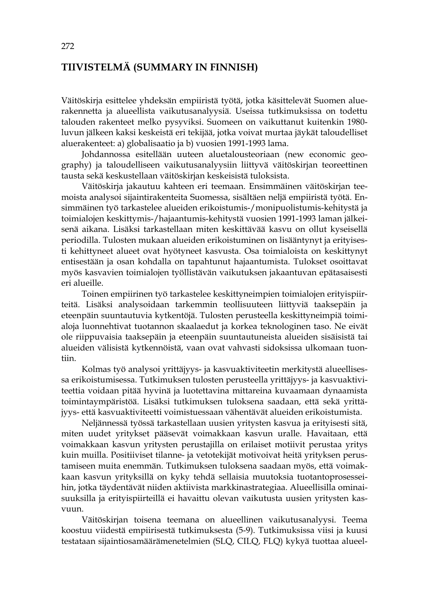#### **TIIVISTELMÄ (SUMMARY IN FINNISH)**

Väitöskirja esittelee yhdeksän empiiristä työtä, jotka käsittelevät Suomen aluerakennetta ja alueellista vaikutusanalyysiä. Useissa tutkimuksissa on todettu talouden rakenteet melko pysyviksi. Suomeen on vaikuttanut kuitenkin 1980 luvun jälkeen kaksi keskeistä eri tekijää, jotka voivat murtaa jäykät taloudelliset aluerakenteet: a) globalisaatio ja b) vuosien 1991-1993 lama.

Johdannossa esitellään uuteen aluetalousteoriaan (new economic geography) ja taloudelliseen vaikutusanalyysiin liittyvä väitöskirjan teoreettinen tausta sekä keskustellaan väitöskirjan keskeisistä tuloksista.

Väitöskirja jakautuu kahteen eri teemaan. Ensimmäinen väitöskirjan teemoista analysoi sijaintirakenteita Suomessa, sisältäen neljä empiiristä työtä. Ensimmäinen työ tarkastelee alueiden erikoistumis-/monipuolistumis-kehitystä ja toimialojen keskittymis-/hajaantumis-kehitystä vuosien 1991-1993 laman jälkeisenä aikana. Lisäksi tarkastellaan miten keskittävää kasvu on ollut kyseisellä periodilla. Tulosten mukaan alueiden erikoistuminen on lisääntynyt ja erityisesti kehittyneet alueet ovat hyötyneet kasvusta. Osa toimialoista on keskittynyt entisestään ja osan kohdalla on tapahtunut hajaantumista. Tulokset osoittavat myös kasvavien toimialojen työllistävän vaikutuksen jakaantuvan epätasaisesti eri alueille.

 Toinen empiirinen työ tarkastelee keskittyneimpien toimialojen erityispiirteitä. Lisäksi analysoidaan tarkemmin teollisuuteen liittyviä taaksepäin ja eteenpäin suuntautuvia kytkentöjä. Tulosten perusteella keskittyneimpiä toimialoja luonnehtivat tuotannon skaalaedut ja korkea teknologinen taso. Ne eivät ole riippuvaisia taaksepäin ja eteenpäin suuntautuneista alueiden sisäisistä tai alueiden välisistä kytkennöistä, vaan ovat vahvasti sidoksissa ulkomaan tuontiin.

 Kolmas työ analysoi yrittäjyys- ja kasvuaktiviteetin merkitystä alueellisessa erikoistumisessa. Tutkimuksen tulosten perusteella yrittäjyys- ja kasvuaktiviteettia voidaan pitää hyvinä ja luotettavina mittareina kuvaamaan dynaamista toimintaympäristöä. Lisäksi tutkimuksen tuloksena saadaan, että sekä yrittäjyys- että kasvuaktiviteetti voimistuessaan vähentävät alueiden erikoistumista.

 Neljännessä työssä tarkastellaan uusien yritysten kasvua ja erityisesti sitä, miten uudet yritykset pääsevät voimakkaan kasvun uralle. Havaitaan, että voimakkaan kasvun yritysten perustajilla on erilaiset motiivit perustaa yritys kuin muilla. Positiiviset tilanne- ja vetotekijät motivoivat heitä yrityksen perustamiseen muita enemmän. Tutkimuksen tuloksena saadaan myös, että voimakkaan kasvun yrityksillä on kyky tehdä sellaisia muutoksia tuotantoprosesseihin, jotka täydentävät niiden aktiivista markkinastrategiaa. Alueellisilla ominaisuuksilla ja erityispiirteillä ei havaittu olevan vaikutusta uusien yritysten kasvuun.

 Väitöskirjan toisena teemana on alueellinen vaikutusanalyysi. Teema koostuu viidestä empiirisestä tutkimuksesta (5-9). Tutkimuksissa viisi ja kuusi testataan sijaintiosamäärämenetelmien (SLQ, CILQ, FLQ) kykyä tuottaa alueel-